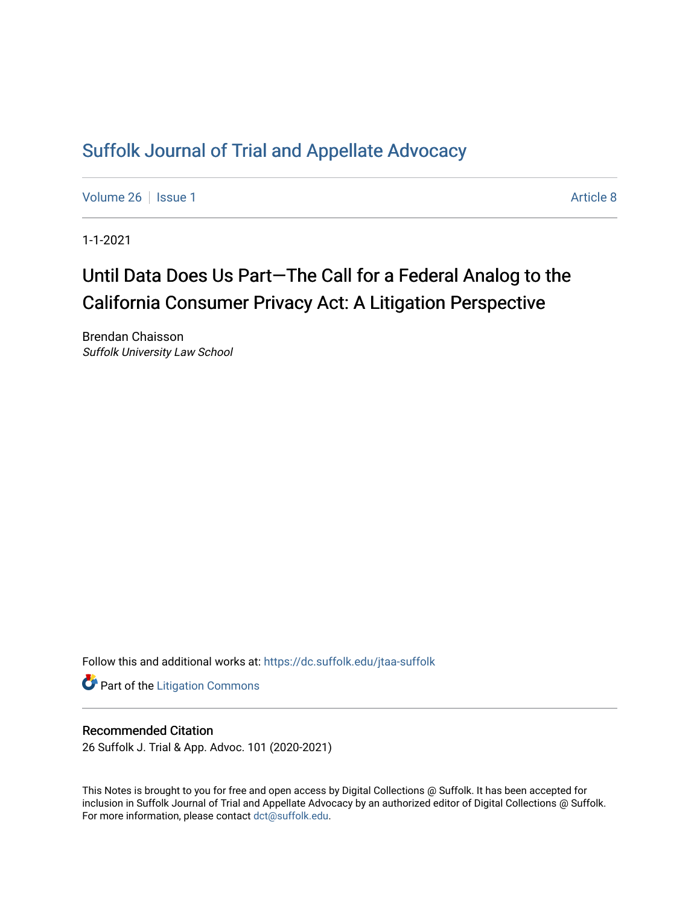# [Suffolk Journal of Trial and Appellate Advocacy](https://dc.suffolk.edu/jtaa-suffolk)

[Volume 26](https://dc.suffolk.edu/jtaa-suffolk/vol26) | [Issue 1](https://dc.suffolk.edu/jtaa-suffolk/vol26/iss1) Article 8

1-1-2021

# Until Data Does Us Part-The Call for a Federal Analog to the California Consumer Privacy Act: A Litigation Perspective

Brendan Chaisson Suffolk University Law School

Follow this and additional works at: [https://dc.suffolk.edu/jtaa-suffolk](https://dc.suffolk.edu/jtaa-suffolk?utm_source=dc.suffolk.edu%2Fjtaa-suffolk%2Fvol26%2Fiss1%2F8&utm_medium=PDF&utm_campaign=PDFCoverPages) 

**Part of the [Litigation Commons](https://network.bepress.com/hgg/discipline/910?utm_source=dc.suffolk.edu%2Fjtaa-suffolk%2Fvol26%2Fiss1%2F8&utm_medium=PDF&utm_campaign=PDFCoverPages)** 

# Recommended Citation

26 Suffolk J. Trial & App. Advoc. 101 (2020-2021)

This Notes is brought to you for free and open access by Digital Collections @ Suffolk. It has been accepted for inclusion in Suffolk Journal of Trial and Appellate Advocacy by an authorized editor of Digital Collections @ Suffolk. For more information, please contact [dct@suffolk.edu](mailto:dct@suffolk.edu).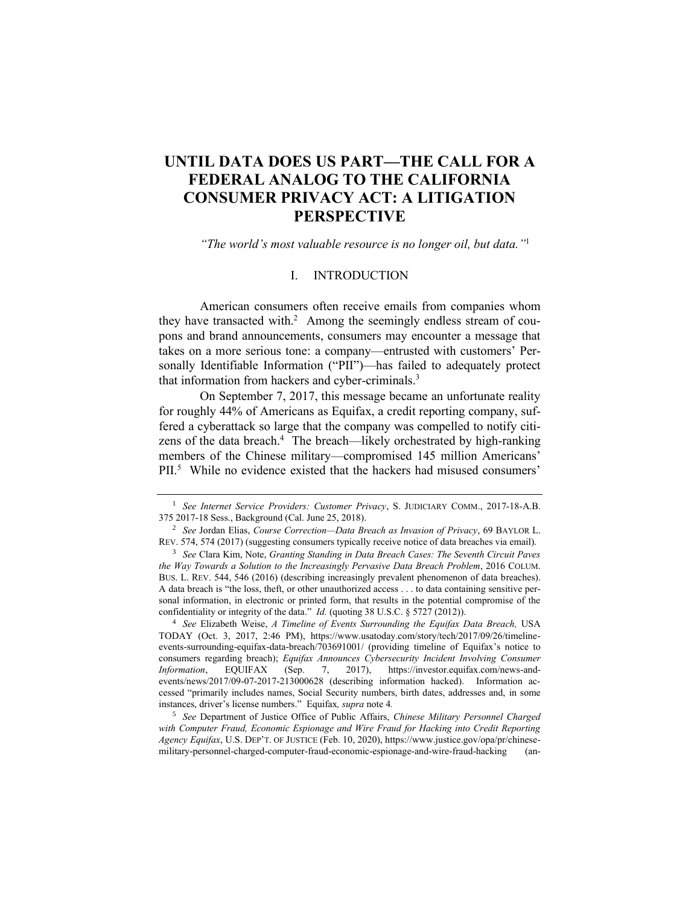# **UNTIL DATA DOES US PART—THE CALL FOR A FEDERAL ANALOG TO THE CALIFORNIA CONSUMER PRIVACY ACT: A LITIGATION PERSPECTIVE**

*"The world's most valuable resource is no longer oil, but data."* 1

### I. INTRODUCTION

American consumers often receive emails from companies whom they have transacted with. 2 Among the seemingly endless stream of coupons and brand announcements, consumers may encounter a message that takes on a more serious tone: a company—entrusted with customers' Personally Identifiable Information ("PII")—has failed to adequately protect that information from hackers and cyber-criminals.<sup>3</sup>

On September 7, 2017, this message became an unfortunate reality for roughly 44% of Americans as Equifax, a credit reporting company, suffered a cyberattack so large that the company was compelled to notify citizens of the data breach. 4 The breach—likely orchestrated by high-ranking members of the Chinese military—compromised 145 million Americans' PII.<sup>5</sup> While no evidence existed that the hackers had misused consumers'

<sup>4</sup> *See* Elizabeth Weise, *A Timeline of Events Surrounding the Equifax Data Breach,* USA TODAY (Oct. 3, 2017, 2:46 PM), https://www.usatoday.com/story/tech/2017/09/26/timelineevents-surrounding-equifax-data-breach/703691001/ (providing timeline of Equifax's notice to consumers regarding breach); *Equifax Announces Cybersecurity Incident Involving Consumer Information*, EQUIFAX (Sep. 7, 2017), https://investor.equifax.com/news-and-*Information*, EQUIFAX (Sep. 7, 2017), https://investor.equifax.com/news-andevents/news/2017/09-07-2017-213000628 (describing information hacked). Information accessed "primarily includes names, Social Security numbers, birth dates, addresses and, in some instances, driver's license numbers." Equifax*, supra* note 4*.*

<sup>5</sup> *See* Department of Justice Office of Public Affairs, *Chinese Military Personnel Charged with Computer Fraud, Economic Espionage and Wire Fraud for Hacking into Credit Reporting Agency Equifax*, U.S. DEP'T. OF JUSTICE (Feb. 10, 2020), https://www.justice.gov/opa/pr/chinesemilitary-personnel-charged-computer-fraud-economic-espionage-and-wire-fraud-hacking (an-

<sup>1</sup> *See Internet Service Providers: Customer Privacy*, S. JUDICIARY COMM., 2017-18-A.B. 375 2017-18 Sess., Background (Cal. June 25, 2018).

<sup>2</sup> *See* Jordan Elias, *Course Correction—Data Breach as Invasion of Privacy*, 69 BAYLOR L. REV. 574, 574 (2017) (suggesting consumers typically receive notice of data breaches via email).

<sup>3</sup> *See* Clara Kim, Note, *Granting Standing in Data Breach Cases: The Seventh Circuit Paves the Way Towards a Solution to the Increasingly Pervasive Data Breach Problem*, 2016 COLUM. BUS. L. REV. 544, 546 (2016) (describing increasingly prevalent phenomenon of data breaches). A data breach is "the loss, theft, or other unauthorized access . . . to data containing sensitive personal information, in electronic or printed form, that results in the potential compromise of the confidentiality or integrity of the data." *Id.* (quoting 38 U.S.C. § 5727 (2012)).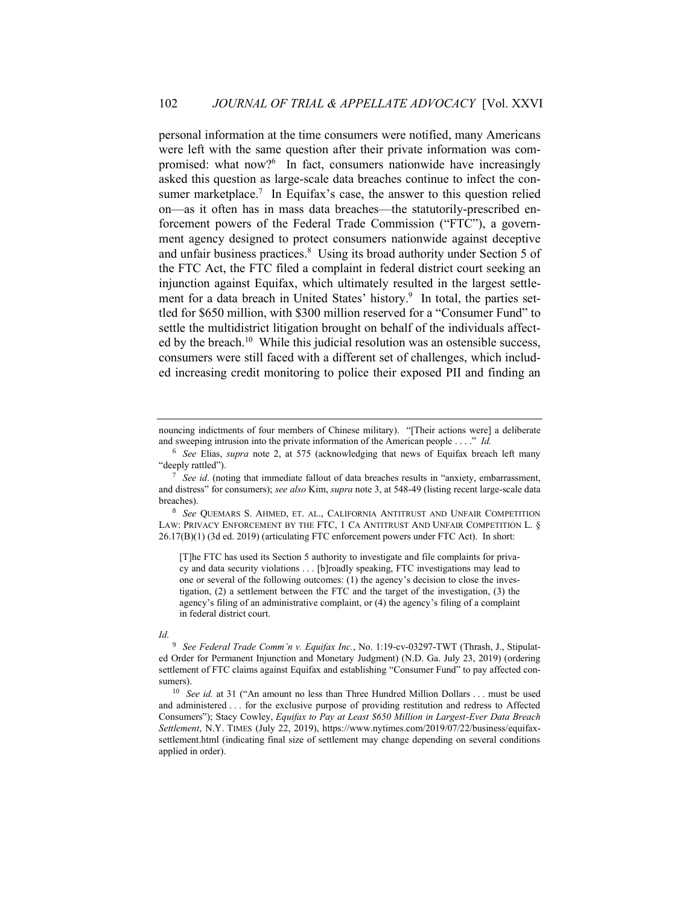personal information at the time consumers were notified, many Americans were left with the same question after their private information was compromised: what now?<sup>6</sup> In fact, consumers nationwide have increasingly asked this question as large-scale data breaches continue to infect the consumer marketplace.<sup>7</sup> In Equifax's case, the answer to this question relied on—as it often has in mass data breaches—the statutorily-prescribed enforcement powers of the Federal Trade Commission ("FTC"), a government agency designed to protect consumers nationwide against deceptive and unfair business practices.<sup>8</sup> Using its broad authority under Section 5 of the FTC Act, the FTC filed a complaint in federal district court seeking an injunction against Equifax, which ultimately resulted in the largest settlement for a data breach in United States' history.<sup>9</sup> In total, the parties settled for \$650 million, with \$300 million reserved for a "Consumer Fund" to settle the multidistrict litigation brought on behalf of the individuals affected by the breach.<sup>10</sup> While this judicial resolution was an ostensible success, consumers were still faced with a different set of challenges, which included increasing credit monitoring to police their exposed PII and finding an

#### *Id.*

nouncing indictments of four members of Chinese military). "[Their actions were] a deliberate and sweeping intrusion into the private information of the American people . . . ." *Id.*

<sup>6</sup> *See* Elias, *supra* note 2, at 575 (acknowledging that news of Equifax breach left many "deeply rattled").

See id. (noting that immediate fallout of data breaches results in "anxiety, embarrassment, and distress" for consumers); *see also* Kim, *supra* note 3, at 548-49 (listing recent large-scale data breaches).

<sup>8</sup> *See* QUEMARS S. AHMED, ET. AL., CALIFORNIA ANTITRUST AND UNFAIR COMPETITION LAW: PRIVACY ENFORCEMENT BY THE FTC, 1 CA ANTITRUST AND UNFAIR COMPETITION L. § 26.17(B)(1) (3d ed. 2019) (articulating FTC enforcement powers under FTC Act). In short:

<sup>[</sup>T]he FTC has used its Section 5 authority to investigate and file complaints for privacy and data security violations . . . [b]roadly speaking, FTC investigations may lead to one or several of the following outcomes: (1) the agency's decision to close the investigation, (2) a settlement between the FTC and the target of the investigation, (3) the agency's filing of an administrative complaint, or (4) the agency's filing of a complaint in federal district court.

<sup>9</sup> *See Federal Trade Comm'n v. Equifax Inc.*, No. 1:19-cv-03297-TWT (Thrash, J., Stipulated Order for Permanent Injunction and Monetary Judgment) (N.D. Ga. July 23, 2019) (ordering settlement of FTC claims against Equifax and establishing "Consumer Fund" to pay affected consumers).

<sup>&</sup>lt;sup>10</sup> *See id.* at 31 ("An amount no less than Three Hundred Million Dollars . . . must be used and administered . . . for the exclusive purpose of providing restitution and redress to Affected Consumers"); Stacy Cowley, *Equifax to Pay at Least \$650 Million in Largest-Ever Data Breach Settlement*, N.Y. TIMES (July 22, 2019), https://www.nytimes.com/2019/07/22/business/equifaxsettlement.html (indicating final size of settlement may change depending on several conditions applied in order).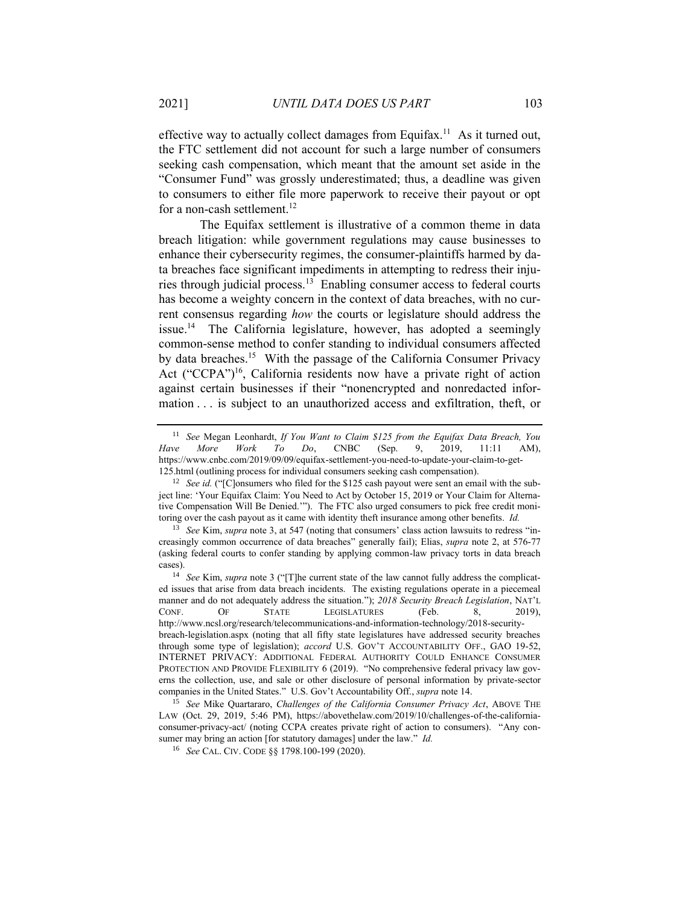effective way to actually collect damages from Equifax.<sup>11</sup> As it turned out, the FTC settlement did not account for such a large number of consumers seeking cash compensation, which meant that the amount set aside in the "Consumer Fund" was grossly underestimated; thus, a deadline was given to consumers to either file more paperwork to receive their payout or opt for a non-cash settlement.<sup>12</sup>

The Equifax settlement is illustrative of a common theme in data breach litigation: while government regulations may cause businesses to enhance their cybersecurity regimes, the consumer-plaintiffs harmed by data breaches face significant impediments in attempting to redress their injuries through judicial process.<sup>13</sup> Enabling consumer access to federal courts has become a weighty concern in the context of data breaches, with no current consensus regarding *how* the courts or legislature should address the issue. 14 The California legislature, however, has adopted a seemingly common-sense method to confer standing to individual consumers affected by data breaches.<sup>15</sup> With the passage of the California Consumer Privacy Act ("CCPA")<sup>16</sup>, California residents now have a private right of action against certain businesses if their "nonencrypted and nonredacted information . . . is subject to an unauthorized access and exfiltration, theft, or

<sup>11</sup> *See* Megan Leonhardt, *If You Want to Claim \$125 from the Equifax Data Breach, You Have More Work To Do*, CNBC (Sep. 9, 2019, 11:11 AM), https://www.cnbc.com/2019/09/09/equifax-settlement-you-need-to-update-your-claim-to-get-125.html (outlining process for individual consumers seeking cash compensation).

<sup>&</sup>lt;sup>12</sup> *See id.* ("[C]onsumers who filed for the \$125 cash payout were sent an email with the subject line: 'Your Equifax Claim: You Need to Act by October 15, 2019 or Your Claim for Alternative Compensation Will Be Denied.'"). The FTC also urged consumers to pick free credit monitoring over the cash payout as it came with identity theft insurance among other benefits. *Id.* 

<sup>13</sup> *See* Kim, *supra* note 3, at 547 (noting that consumers' class action lawsuits to redress "increasingly common occurrence of data breaches" generally fail); Elias, *supra* note 2, at 576-77 (asking federal courts to confer standing by applying common-law privacy torts in data breach cases).

<sup>14</sup> *See* Kim, *supra* note 3 ("[T]he current state of the law cannot fully address the complicated issues that arise from data breach incidents. The existing regulations operate in a piecemeal manner and do not adequately address the situation."); *2018 Security Breach Legislation*, NAT'L CONF. OF STATE LEGISLATURES (Feb. 8, 2019), http://www.ncsl.org/research/telecommunications-and-information-technology/2018-securitybreach-legislation.aspx (noting that all fifty state legislatures have addressed security breaches through some type of legislation); *accord* U.S. GOV'T ACCOUNTABILITY OFF., GAO 19-52, INTERNET PRIVACY: ADDITIONAL FEDERAL AUTHORITY COULD ENHANCE CONSUMER PROTECTION AND PROVIDE FLEXIBILITY 6 (2019). "No comprehensive federal privacy law governs the collection, use, and sale or other disclosure of personal information by private-sector companies in the United States." U.S. Gov't Accountability Off., *supra* note 14.

<sup>15</sup> *See* Mike Quartararo, *Challenges of the California Consumer Privacy Act*, ABOVE THE LAW (Oct. 29, 2019, 5:46 PM), https://abovethelaw.com/2019/10/challenges-of-the-californiaconsumer-privacy-act/ (noting CCPA creates private right of action to consumers). "Any consumer may bring an action [for statutory damages] under the law." *Id.*

<sup>16</sup> *See* CAL. CIV. CODE §§ 1798.100-199 (2020).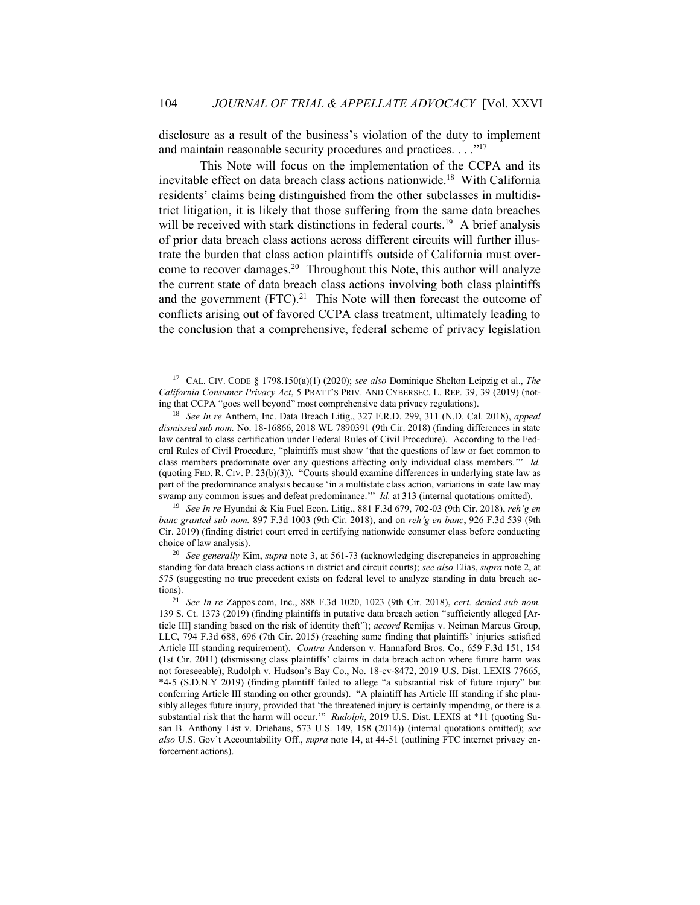disclosure as a result of the business's violation of the duty to implement and maintain reasonable security procedures and practices. . . . "<sup>17</sup>

This Note will focus on the implementation of the CCPA and its inevitable effect on data breach class actions nationwide.<sup>18</sup> With California residents' claims being distinguished from the other subclasses in multidistrict litigation, it is likely that those suffering from the same data breaches will be received with stark distinctions in federal courts.<sup>19</sup> A brief analysis of prior data breach class actions across different circuits will further illustrate the burden that class action plaintiffs outside of California must overcome to recover damages.<sup>20</sup> Throughout this Note, this author will analyze the current state of data breach class actions involving both class plaintiffs and the government  $(FTC)^{21}$  This Note will then forecast the outcome of conflicts arising out of favored CCPA class treatment, ultimately leading to the conclusion that a comprehensive, federal scheme of privacy legislation

<sup>19</sup> *See In re* Hyundai & Kia Fuel Econ. Litig., 881 F.3d 679, 702-03 (9th Cir. 2018), *reh'g en banc granted sub nom.* 897 F.3d 1003 (9th Cir. 2018), and on *reh'g en banc*, 926 F.3d 539 (9th Cir. 2019) (finding district court erred in certifying nationwide consumer class before conducting choice of law analysis).

<sup>17</sup> CAL. CIV. CODE § 1798.150(a)(1) (2020); *see also* Dominique Shelton Leipzig et al., *The California Consumer Privacy Act*, 5 PRATT'S PRIV. AND CYBERSEC. L. REP. 39, 39 (2019) (noting that CCPA "goes well beyond" most comprehensive data privacy regulations).

<sup>18</sup> *See In re* Anthem, Inc. Data Breach Litig., 327 F.R.D. 299, 311 (N.D. Cal. 2018), *appeal dismissed sub nom.* No. 18-16866, 2018 WL 7890391 (9th Cir. 2018) (finding differences in state law central to class certification under Federal Rules of Civil Procedure). According to the Federal Rules of Civil Procedure, "plaintiffs must show 'that the questions of law or fact common to class members predominate over any questions affecting only individual class members.'" *Id.*  (quoting FED. R. CIV. P.  $23(b)(3)$ ). "Courts should examine differences in underlying state law as part of the predominance analysis because 'in a multistate class action, variations in state law may swamp any common issues and defeat predominance.'" *Id.* at 313 (internal quotations omitted).

<sup>20</sup> *See generally* Kim, *supra* note 3, at 561-73 (acknowledging discrepancies in approaching standing for data breach class actions in district and circuit courts); *see also* Elias, *supra* note 2, at 575 (suggesting no true precedent exists on federal level to analyze standing in data breach actions).

<sup>21</sup> *See In re* Zappos.com, Inc., 888 F.3d 1020, 1023 (9th Cir. 2018), *cert. denied sub nom.*  139 S. Ct. 1373 (2019) (finding plaintiffs in putative data breach action "sufficiently alleged [Article III] standing based on the risk of identity theft"); *accord* Remijas v. Neiman Marcus Group, LLC, 794 F.3d 688, 696 (7th Cir. 2015) (reaching same finding that plaintiffs' injuries satisfied Article III standing requirement). *Contra* Anderson v. Hannaford Bros. Co., 659 F.3d 151, 154 (1st Cir. 2011) (dismissing class plaintiffs' claims in data breach action where future harm was not foreseeable); Rudolph v. Hudson's Bay Co., No. 18-cv-8472, 2019 U.S. Dist. LEXIS 77665, \*4-5 (S.D.N.Y 2019) (finding plaintiff failed to allege "a substantial risk of future injury" but conferring Article III standing on other grounds). "A plaintiff has Article III standing if she plausibly alleges future injury, provided that 'the threatened injury is certainly impending, or there is a substantial risk that the harm will occur.'" *Rudolph*, 2019 U.S. Dist. LEXIS at \*11 (quoting Susan B. Anthony List v. Driehaus, 573 U.S. 149, 158 (2014)) (internal quotations omitted); *see also* U.S. Gov't Accountability Off., *supra* note 14, at 44-51 (outlining FTC internet privacy enforcement actions).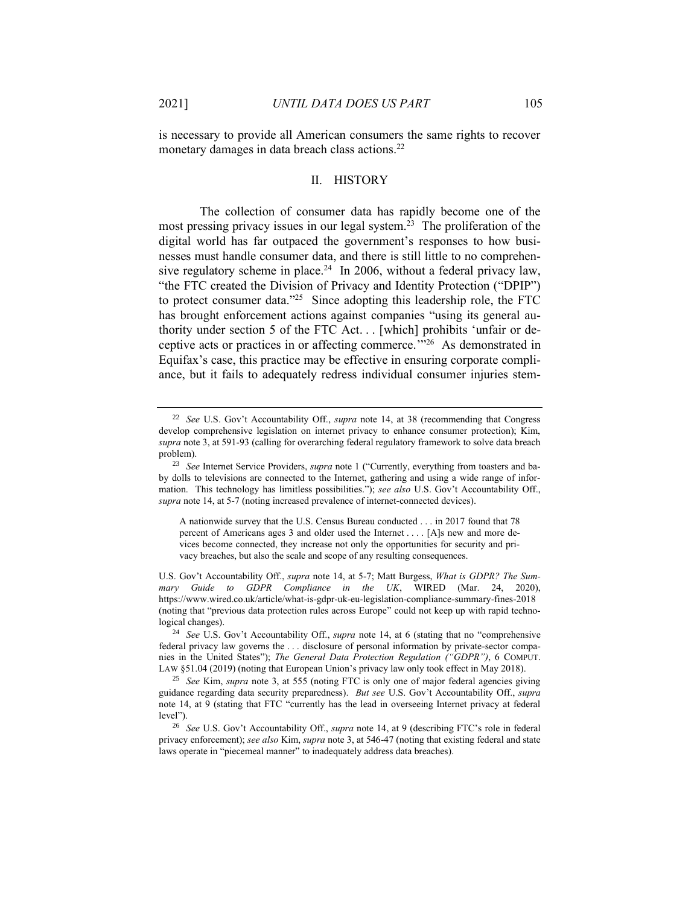is necessary to provide all American consumers the same rights to recover monetary damages in data breach class actions.<sup>22</sup>

#### II. HISTORY

The collection of consumer data has rapidly become one of the most pressing privacy issues in our legal system.<sup>23</sup> The proliferation of the digital world has far outpaced the government's responses to how businesses must handle consumer data, and there is still little to no comprehensive regulatory scheme in place.<sup>24</sup> In 2006, without a federal privacy law, "the FTC created the Division of Privacy and Identity Protection ("DPIP") to protect consumer data." 25 Since adopting this leadership role, the FTC has brought enforcement actions against companies "using its general authority under section 5 of the FTC Act. . . [which] prohibits 'unfair or deceptive acts or practices in or affecting commerce.'" 26 As demonstrated in Equifax's case, this practice may be effective in ensuring corporate compliance, but it fails to adequately redress individual consumer injuries stem-

<sup>22</sup> *See* U.S. Gov't Accountability Off., *supra* note 14, at 38 (recommending that Congress develop comprehensive legislation on internet privacy to enhance consumer protection); Kim, *supra* note 3, at 591-93 (calling for overarching federal regulatory framework to solve data breach problem).

<sup>23</sup> *See* Internet Service Providers, *supra* note 1 ("Currently, everything from toasters and baby dolls to televisions are connected to the Internet, gathering and using a wide range of information. This technology has limitless possibilities."); *see also* U.S. Gov't Accountability Off., *supra* note 14, at 5-7 (noting increased prevalence of internet-connected devices).

A nationwide survey that the U.S. Census Bureau conducted . . . in 2017 found that 78 percent of Americans ages 3 and older used the Internet . . . . [A]s new and more devices become connected, they increase not only the opportunities for security and privacy breaches, but also the scale and scope of any resulting consequences.

U.S. Gov't Accountability Off., *supra* note 14, at 5-7; Matt Burgess, *What is GDPR? The Summary Guide to GDPR Compliance in the UK*, WIRED (Mar. 24, 2020), https://www.wired.co.uk/article/what-is-gdpr-uk-eu-legislation-compliance-summary-fines-2018 (noting that "previous data protection rules across Europe" could not keep up with rapid technological changes).

<sup>24</sup> *See* U.S. Gov't Accountability Off., *supra* note 14, at 6 (stating that no "comprehensive federal privacy law governs the . . . disclosure of personal information by private-sector companies in the United States"); *The General Data Protection Regulation ("GDPR")*, 6 COMPUT. LAW §51.04 (2019) (noting that European Union's privacy law only took effect in May 2018).

<sup>25</sup> *See* Kim, *supra* note 3, at 555 (noting FTC is only one of major federal agencies giving guidance regarding data security preparedness). *But see* U.S. Gov't Accountability Off., *supra*  note 14, at 9 (stating that FTC "currently has the lead in overseeing Internet privacy at federal level").

<sup>26</sup> *See* U.S. Gov't Accountability Off., *supra* note 14, at 9 (describing FTC's role in federal privacy enforcement); *see also* Kim, *supra* note 3, at 546-47 (noting that existing federal and state laws operate in "piecemeal manner" to inadequately address data breaches).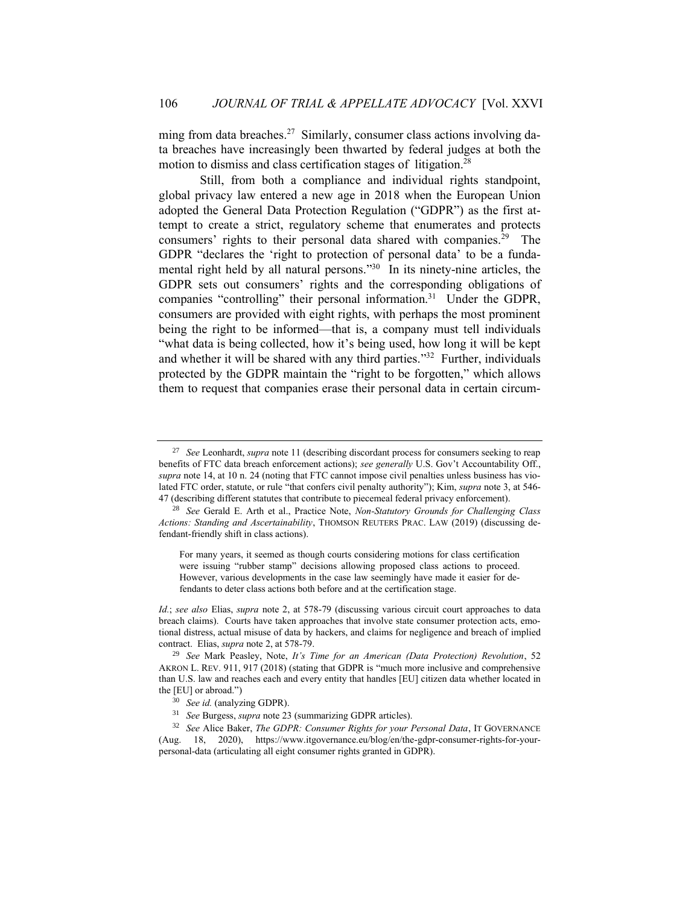ming from data breaches.<sup>27</sup> Similarly, consumer class actions involving data breaches have increasingly been thwarted by federal judges at both the motion to dismiss and class certification stages of litigation. 28

Still, from both a compliance and individual rights standpoint, global privacy law entered a new age in 2018 when the European Union adopted the General Data Protection Regulation ("GDPR") as the first attempt to create a strict, regulatory scheme that enumerates and protects consumers' rights to their personal data shared with companies.<sup>29</sup> The GDPR "declares the 'right to protection of personal data' to be a fundamental right held by all natural persons."<sup>30</sup> In its ninety-nine articles, the GDPR sets out consumers' rights and the corresponding obligations of companies "controlling" their personal information.<sup>31</sup> Under the GDPR, consumers are provided with eight rights, with perhaps the most prominent being the right to be informed—that is, a company must tell individuals "what data is being collected, how it's being used, how long it will be kept and whether it will be shared with any third parties." 32 Further, individuals protected by the GDPR maintain the "right to be forgotten," which allows them to request that companies erase their personal data in certain circum-

<sup>27</sup> *See* Leonhardt, *supra* note 11 (describing discordant process for consumers seeking to reap benefits of FTC data breach enforcement actions); *see generally* U.S. Gov't Accountability Off., *supra* note 14, at 10 n. 24 (noting that FTC cannot impose civil penalties unless business has violated FTC order, statute, or rule "that confers civil penalty authority"); Kim, *supra* note 3, at 546- 47 (describing different statutes that contribute to piecemeal federal privacy enforcement).

<sup>28</sup> *See* Gerald E. Arth et al., Practice Note, *Non-Statutory Grounds for Challenging Class Actions: Standing and Ascertainability*, THOMSON REUTERS PRAC. LAW (2019) (discussing defendant-friendly shift in class actions).

For many years, it seemed as though courts considering motions for class certification were issuing "rubber stamp" decisions allowing proposed class actions to proceed. However, various developments in the case law seemingly have made it easier for defendants to deter class actions both before and at the certification stage.

*Id.*; *see also* Elias, *supra* note 2, at 578-79 (discussing various circuit court approaches to data breach claims). Courts have taken approaches that involve state consumer protection acts, emotional distress, actual misuse of data by hackers, and claims for negligence and breach of implied contract. Elias, *supra* note 2, at 578-79.

<sup>29</sup> *See* Mark Peasley, Note, *It's Time for an American (Data Protection) Revolution*, 52 AKRON L. REV. 911, 917 (2018) (stating that GDPR is "much more inclusive and comprehensive than U.S. law and reaches each and every entity that handles [EU] citizen data whether located in the [EU] or abroad.")

<sup>30</sup> *See id.* (analyzing GDPR).

<sup>31</sup> *See* Burgess, *supra* note 23 (summarizing GDPR articles).

<sup>32</sup> *See* Alice Baker, *The GDPR: Consumer Rights for your Personal Data*, IT GOVERNANCE (Aug. 18, 2020), https://www.itgovernance.eu/blog/en/the-gdpr-consumer-rights-for-yourpersonal-data (articulating all eight consumer rights granted in GDPR).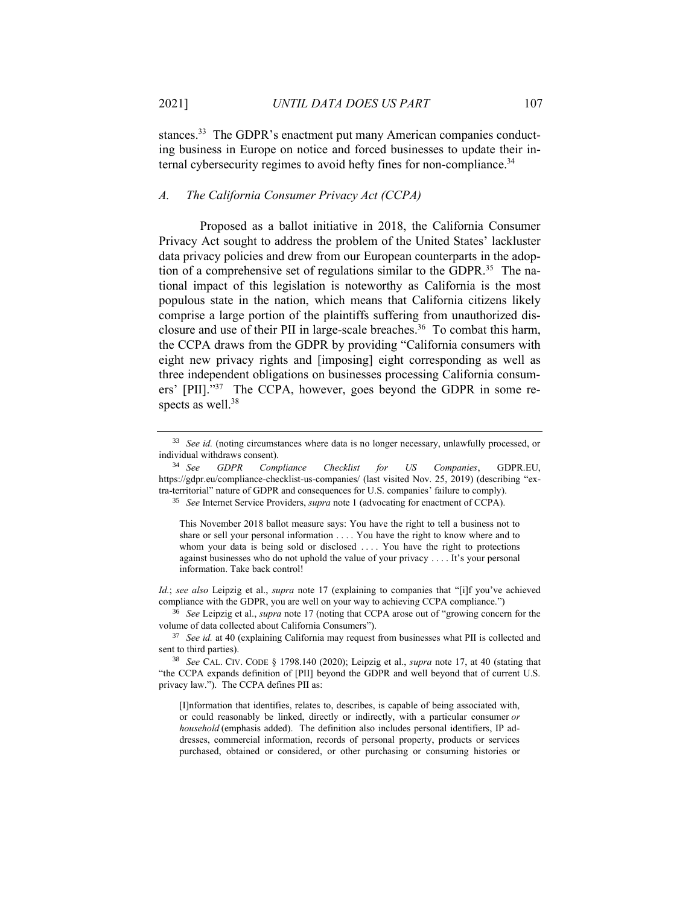stances.<sup>33</sup> The GDPR's enactment put many American companies conducting business in Europe on notice and forced businesses to update their internal cybersecurity regimes to avoid hefty fines for non-compliance.<sup>34</sup>

# *A. The California Consumer Privacy Act (CCPA)*

Proposed as a ballot initiative in 2018, the California Consumer Privacy Act sought to address the problem of the United States' lackluster data privacy policies and drew from our European counterparts in the adoption of a comprehensive set of regulations similar to the GDPR.<sup>35</sup> The national impact of this legislation is noteworthy as California is the most populous state in the nation, which means that California citizens likely comprise a large portion of the plaintiffs suffering from unauthorized disclosure and use of their PII in large-scale breaches. 36 To combat this harm, the CCPA draws from the GDPR by providing "California consumers with eight new privacy rights and [imposing] eight corresponding as well as three independent obligations on businesses processing California consumers' [PII]."<sup>37</sup> The CCPA, however, goes beyond the GDPR in some respects as well.<sup>38</sup>

<sup>35</sup> *See* Internet Service Providers, *supra* note 1 (advocating for enactment of CCPA).

This November 2018 ballot measure says: You have the right to tell a business not to share or sell your personal information . . . . You have the right to know where and to whom your data is being sold or disclosed .... You have the right to protections against businesses who do not uphold the value of your privacy . . . . It's your personal information. Take back control!

*Id.*; *see also* Leipzig et al., *supra* note 17 (explaining to companies that "[i]f you've achieved compliance with the GDPR, you are well on your way to achieving CCPA compliance.")

<sup>36</sup> *See* Leipzig et al., *supra* note 17 (noting that CCPA arose out of "growing concern for the volume of data collected about California Consumers").

<sup>37</sup> *See id.* at 40 (explaining California may request from businesses what PII is collected and sent to third parties).

<sup>38</sup> *See* CAL. CIV. CODE § 1798.140 (2020); Leipzig et al., *supra* note 17, at 40 (stating that "the CCPA expands definition of [PII] beyond the GDPR and well beyond that of current U.S. privacy law."). The CCPA defines PII as:

[I]nformation that identifies, relates to, describes, is capable of being associated with, or could reasonably be linked, directly or indirectly, with a particular consumer *or household* (emphasis added). The definition also includes personal identifiers, IP addresses, commercial information, records of personal property, products or services purchased, obtained or considered, or other purchasing or consuming histories or

<sup>33</sup> *See id.* (noting circumstances where data is no longer necessary, unlawfully processed, or individual withdraws consent).<br> $34 \text{ See} GDPR \text{ Com.}$ 

<sup>34</sup> *See GDPR Compliance Checklist for US Companies*, GDPR.EU, https://gdpr.eu/compliance-checklist-us-companies/ (last visited Nov. 25, 2019) (describing "extra-territorial" nature of GDPR and consequences for U.S. companies' failure to comply).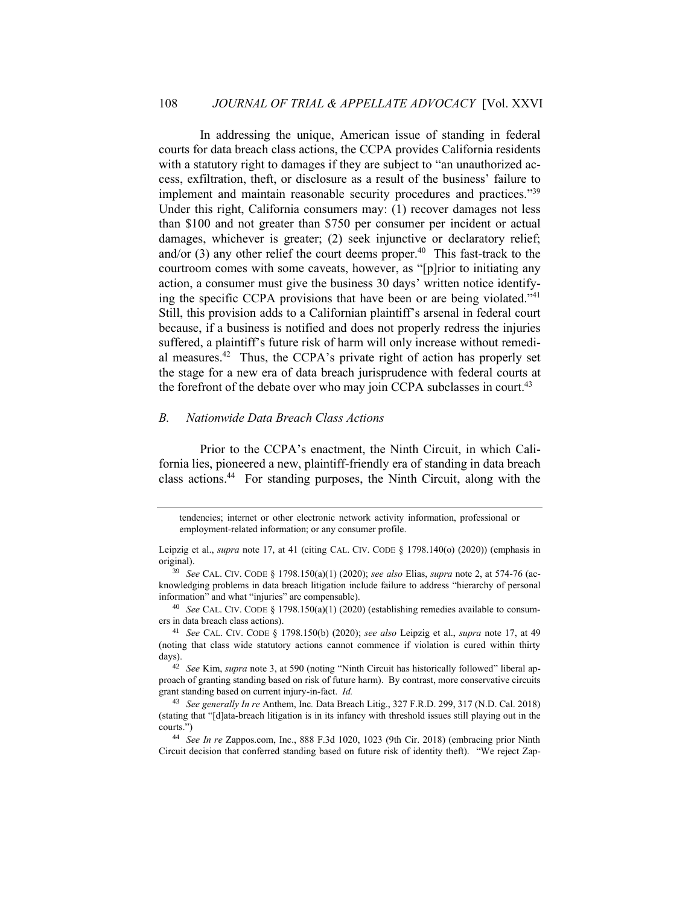In addressing the unique, American issue of standing in federal courts for data breach class actions, the CCPA provides California residents with a statutory right to damages if they are subject to "an unauthorized access, exfiltration, theft, or disclosure as a result of the business' failure to implement and maintain reasonable security procedures and practices." 39 Under this right, California consumers may: (1) recover damages not less than \$100 and not greater than \$750 per consumer per incident or actual damages, whichever is greater; (2) seek injunctive or declaratory relief; and/or  $(3)$  any other relief the court deems proper.<sup>40</sup> This fast-track to the courtroom comes with some caveats, however, as "[p]rior to initiating any action, a consumer must give the business 30 days' written notice identifying the specific CCPA provisions that have been or are being violated." 41 Still, this provision adds to a Californian plaintiff's arsenal in federal court because, if a business is notified and does not properly redress the injuries suffered, a plaintiff's future risk of harm will only increase without remedial measures.<sup>42</sup> Thus, the CCPA's private right of action has properly set the stage for a new era of data breach jurisprudence with federal courts at the forefront of the debate over who may join CCPA subclasses in court.<sup>43</sup>

#### *B. Nationwide Data Breach Class Actions*

Prior to the CCPA's enactment, the Ninth Circuit, in which California lies, pioneered a new, plaintiff-friendly era of standing in data breach class actions.<sup>44</sup> For standing purposes, the Ninth Circuit, along with the

tendencies; internet or other electronic network activity information, professional or employment-related information; or any consumer profile.

Leipzig et al., *supra* note 17, at 41 (citing CAL. CIV. CODE § 1798.140(o) (2020)) (emphasis in original).

<sup>39</sup> *See* CAL. CIV. CODE § 1798.150(a)(1) (2020); *see also* Elias, *supra* note 2, at 574-76 (acknowledging problems in data breach litigation include failure to address "hierarchy of personal information" and what "injuries" are compensable).

<sup>40</sup> *See* CAL. CIV. CODE § 1798.150(a)(1) (2020) (establishing remedies available to consumers in data breach class actions).

<sup>41</sup> *See* CAL. CIV. CODE § 1798.150(b) (2020); *see also* Leipzig et al., *supra* note 17, at 49 (noting that class wide statutory actions cannot commence if violation is cured within thirty days).

<sup>42</sup> *See* Kim, *supra* note 3, at 590 (noting "Ninth Circuit has historically followed" liberal approach of granting standing based on risk of future harm). By contrast, more conservative circuits grant standing based on current injury-in-fact. *Id.*

<sup>43</sup> *See generally In re* Anthem, Inc*.* Data Breach Litig., 327 F.R.D. 299, 317 (N.D. Cal. 2018) (stating that "[d]ata-breach litigation is in its infancy with threshold issues still playing out in the courts.")

<sup>44</sup> *See In re* Zappos.com, Inc., 888 F.3d 1020, 1023 (9th Cir. 2018) (embracing prior Ninth Circuit decision that conferred standing based on future risk of identity theft). "We reject Zap-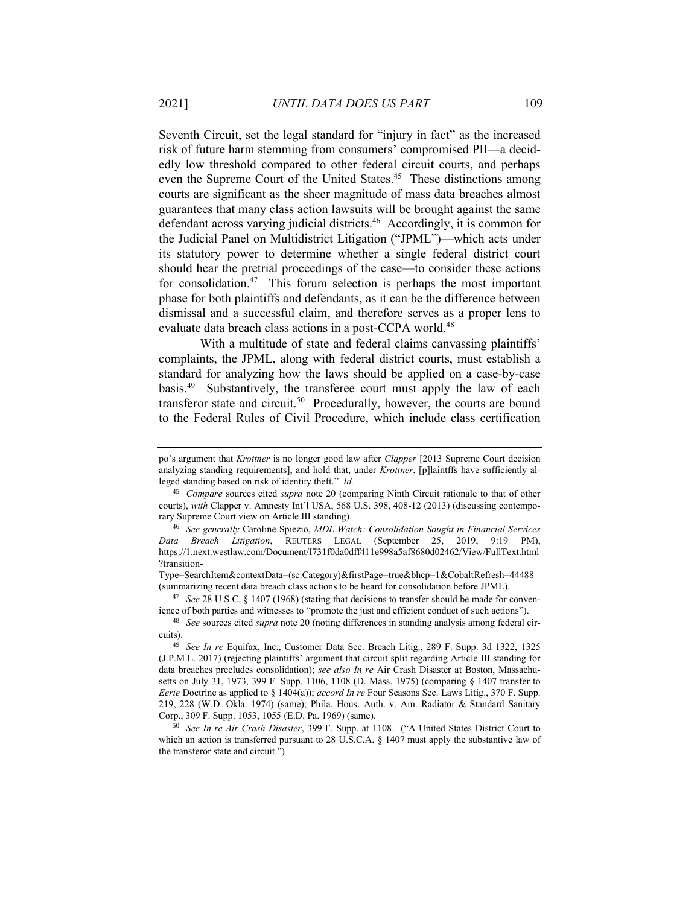Seventh Circuit, set the legal standard for "injury in fact" as the increased risk of future harm stemming from consumers' compromised PII—a decidedly low threshold compared to other federal circuit courts, and perhaps even the Supreme Court of the United States.<sup>45</sup> These distinctions among courts are significant as the sheer magnitude of mass data breaches almost guarantees that many class action lawsuits will be brought against the same defendant across varying judicial districts.<sup>46</sup> Accordingly, it is common for the Judicial Panel on Multidistrict Litigation ("JPML")—which acts under its statutory power to determine whether a single federal district court should hear the pretrial proceedings of the case—to consider these actions for consolidation. 47 This forum selection is perhaps the most important phase for both plaintiffs and defendants, as it can be the difference between dismissal and a successful claim, and therefore serves as a proper lens to evaluate data breach class actions in a post-CCPA world.<sup>48</sup>

With a multitude of state and federal claims canvassing plaintiffs' complaints, the JPML, along with federal district courts, must establish a standard for analyzing how the laws should be applied on a case-by-case basis.<sup>49</sup> Substantively, the transferee court must apply the law of each transferor state and circuit.<sup>50</sup> Procedurally, however, the courts are bound to the Federal Rules of Civil Procedure, which include class certification

Type=SearchItem&contextData=(sc.Category)&firstPage=true&bhcp=1&CobaltRefresh=44488 (summarizing recent data breach class actions to be heard for consolidation before JPML).

<sup>47</sup> *See* 28 U.S.C. § 1407 (1968) (stating that decisions to transfer should be made for convenience of both parties and witnesses to "promote the just and efficient conduct of such actions").

po's argument that *Krottner* is no longer good law after *Clapper* [2013 Supreme Court decision analyzing standing requirements], and hold that, under *Krottner*, [p]laintffs have sufficiently alleged standing based on risk of identity theft." *Id.*

<sup>45</sup> *Compare* sources cited *supra* note 20 (comparing Ninth Circuit rationale to that of other courts), *with* Clapper v. Amnesty Int'l USA, 568 U.S. 398, 408-12 (2013) (discussing contemporary Supreme Court view on Article III standing).

<sup>46</sup> *See generally* Caroline Spiezio, *MDL Watch: Consolidation Sought in Financial Services Data Breach Litigation*, REUTERS LEGAL (September 25, 2019, 9:19 PM), https://1.next.westlaw.com/Document/I731f0da0dff411e998a5af8680d02462/View/FullText.html ?transition-

<sup>48</sup> *See* sources cited *supra* note 20 (noting differences in standing analysis among federal circuits).

<sup>49</sup> *See In re* Equifax, Inc., Customer Data Sec. Breach Litig., 289 F. Supp. 3d 1322, 1325 (J.P.M.L. 2017) (rejecting plaintiffs' argument that circuit split regarding Article III standing for data breaches precludes consolidation); *see also In re* Air Crash Disaster at Boston, Massachusetts on July 31, 1973, 399 F. Supp. 1106, 1108 (D. Mass. 1975) (comparing § 1407 transfer to *Eerie* Doctrine as applied to § 1404(a)); *accord In re* Four Seasons Sec. Laws Litig., 370 F. Supp. 219, 228 (W.D. Okla. 1974) (same); Phila. Hous. Auth. v. Am. Radiator & Standard Sanitary Corp., 309 F. Supp. 1053, 1055 (E.D. Pa. 1969) (same).

<sup>50</sup> *See In re Air Crash Disaster*, 399 F. Supp. at 1108. ("A United States District Court to which an action is transferred pursuant to 28 U.S.C.A. § 1407 must apply the substantive law of the transferor state and circuit.")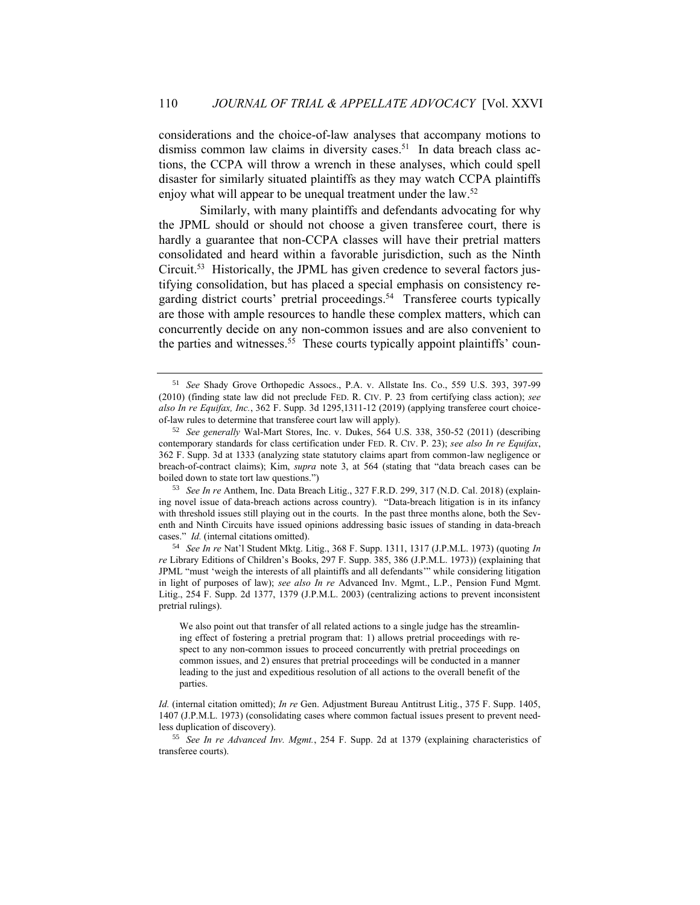considerations and the choice-of-law analyses that accompany motions to dismiss common law claims in diversity cases.<sup>51</sup> In data breach class actions, the CCPA will throw a wrench in these analyses, which could spell disaster for similarly situated plaintiffs as they may watch CCPA plaintiffs enjoy what will appear to be unequal treatment under the law.<sup>52</sup>

Similarly, with many plaintiffs and defendants advocating for why the JPML should or should not choose a given transferee court, there is hardly a guarantee that non-CCPA classes will have their pretrial matters consolidated and heard within a favorable jurisdiction, such as the Ninth Circuit.<sup>53</sup> Historically, the JPML has given credence to several factors justifying consolidation, but has placed a special emphasis on consistency regarding district courts' pretrial proceedings.<sup>54</sup> Transferee courts typically are those with ample resources to handle these complex matters, which can concurrently decide on any non-common issues and are also convenient to the parties and witnesses.<sup>55</sup> These courts typically appoint plaintiffs' coun-

<sup>51</sup> *See* Shady Grove Orthopedic Assocs., P.A. v. Allstate Ins. Co., 559 U.S. 393, 397-99 (2010) (finding state law did not preclude FED. R. CIV. P. 23 from certifying class action); *see also In re Equifax, Inc.*, 362 F. Supp. 3d 1295,1311-12 (2019) (applying transferee court choiceof-law rules to determine that transferee court law will apply).

<sup>52</sup> *See generally* Wal-Mart Stores, Inc. v. Dukes, 564 U.S. 338, 350-52 (2011) (describing contemporary standards for class certification under FED. R. CIV. P. 23); *see also In re Equifax*, 362 F. Supp. 3d at 1333 (analyzing state statutory claims apart from common-law negligence or breach-of-contract claims); Kim, *supra* note 3, at 564 (stating that "data breach cases can be boiled down to state tort law questions.")

<sup>53</sup> *See In re* Anthem, Inc. Data Breach Litig., 327 F.R.D. 299, 317 (N.D. Cal. 2018) (explaining novel issue of data-breach actions across country). "Data-breach litigation is in its infancy with threshold issues still playing out in the courts. In the past three months alone, both the Seventh and Ninth Circuits have issued opinions addressing basic issues of standing in data-breach cases." *Id.* (internal citations omitted).

<sup>54</sup> *See In re* Nat'l Student Mktg. Litig., 368 F. Supp. 1311, 1317 (J.P.M.L. 1973) (quoting *In re* Library Editions of Children's Books, 297 F. Supp. 385, 386 (J.P.M.L. 1973)) (explaining that JPML "must 'weigh the interests of all plaintiffs and all defendants'" while considering litigation in light of purposes of law); *see also In re* Advanced Inv. Mgmt., L.P., Pension Fund Mgmt. Litig., 254 F. Supp. 2d 1377, 1379 (J.P.M.L. 2003) (centralizing actions to prevent inconsistent pretrial rulings).

We also point out that transfer of all related actions to a single judge has the streamlining effect of fostering a pretrial program that: 1) allows pretrial proceedings with respect to any non-common issues to proceed concurrently with pretrial proceedings on common issues, and 2) ensures that pretrial proceedings will be conducted in a manner leading to the just and expeditious resolution of all actions to the overall benefit of the parties.

*Id.* (internal citation omitted); *In re* Gen. Adjustment Bureau Antitrust Litig., 375 F. Supp. 1405, 1407 (J.P.M.L. 1973) (consolidating cases where common factual issues present to prevent needless duplication of discovery).

<sup>55</sup> *See In re Advanced Inv. Mgmt.*, 254 F. Supp. 2d at 1379 (explaining characteristics of transferee courts).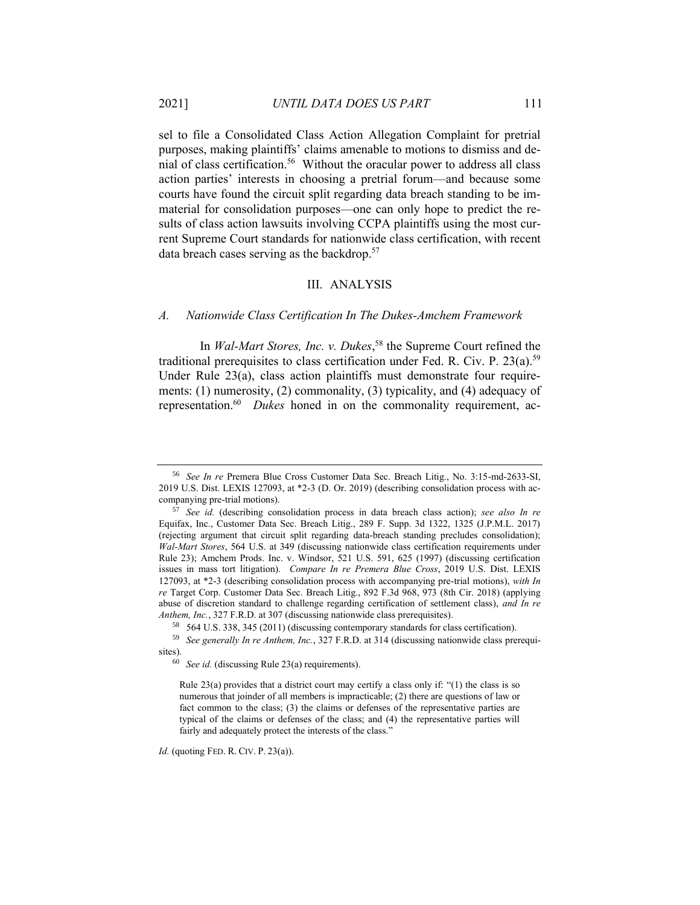sel to file a Consolidated Class Action Allegation Complaint for pretrial purposes, making plaintiffs' claims amenable to motions to dismiss and denial of class certification.<sup>56</sup> Without the oracular power to address all class action parties' interests in choosing a pretrial forum—and because some courts have found the circuit split regarding data breach standing to be immaterial for consolidation purposes—one can only hope to predict the results of class action lawsuits involving CCPA plaintiffs using the most current Supreme Court standards for nationwide class certification, with recent data breach cases serving as the backdrop. 57

# III. ANALYSIS

#### *A. Nationwide Class Certification In The Dukes-Amchem Framework*

In *Wal-Mart Stores, Inc. v. Dukes*, <sup>58</sup> the Supreme Court refined the traditional prerequisites to class certification under Fed. R. Civ. P.  $23(a)$ .<sup>59</sup> Under Rule 23(a), class action plaintiffs must demonstrate four requirements: (1) numerosity, (2) commonality, (3) typicality, and (4) adequacy of representation.<sup>60</sup> Dukes honed in on the commonality requirement, ac-

*Id.* (quoting FED. R. CIV. P. 23(a)).

<sup>56</sup> *See In re* Premera Blue Cross Customer Data Sec. Breach Litig., No. 3:15-md-2633-SI, 2019 U.S. Dist. LEXIS 127093, at \*2-3 (D. Or. 2019) (describing consolidation process with accompanying pre-trial motions).

<sup>57</sup> *See id.* (describing consolidation process in data breach class action); *see also In re* Equifax, Inc., Customer Data Sec. Breach Litig., 289 F. Supp. 3d 1322, 1325 (J.P.M.L. 2017) (rejecting argument that circuit split regarding data-breach standing precludes consolidation); *Wal-Mart Stores*, 564 U.S. at 349 (discussing nationwide class certification requirements under Rule 23); Amchem Prods. Inc. v. Windsor, 521 U.S. 591, 625 (1997) (discussing certification issues in mass tort litigation). *Compare In re Premera Blue Cross*, 2019 U.S. Dist. LEXIS 127093, at \*2-3 (describing consolidation process with accompanying pre-trial motions), *with In re* Target Corp. Customer Data Sec. Breach Litig., 892 F.3d 968, 973 (8th Cir. 2018) (applying abuse of discretion standard to challenge regarding certification of settlement class), *and In re Anthem, Inc.*, 327 F.R.D. at 307 (discussing nationwide class prerequisites).

<sup>58</sup> 564 U.S. 338, 345 (2011) (discussing contemporary standards for class certification).

<sup>59</sup> *See generally In re Anthem, Inc.*, 327 F.R.D. at 314 (discussing nationwide class prerequisites).

<sup>60</sup> *See id.* (discussing Rule 23(a) requirements).

Rule  $23(a)$  provides that a district court may certify a class only if: "(1) the class is so numerous that joinder of all members is impracticable; (2) there are questions of law or fact common to the class; (3) the claims or defenses of the representative parties are typical of the claims or defenses of the class; and (4) the representative parties will fairly and adequately protect the interests of the class."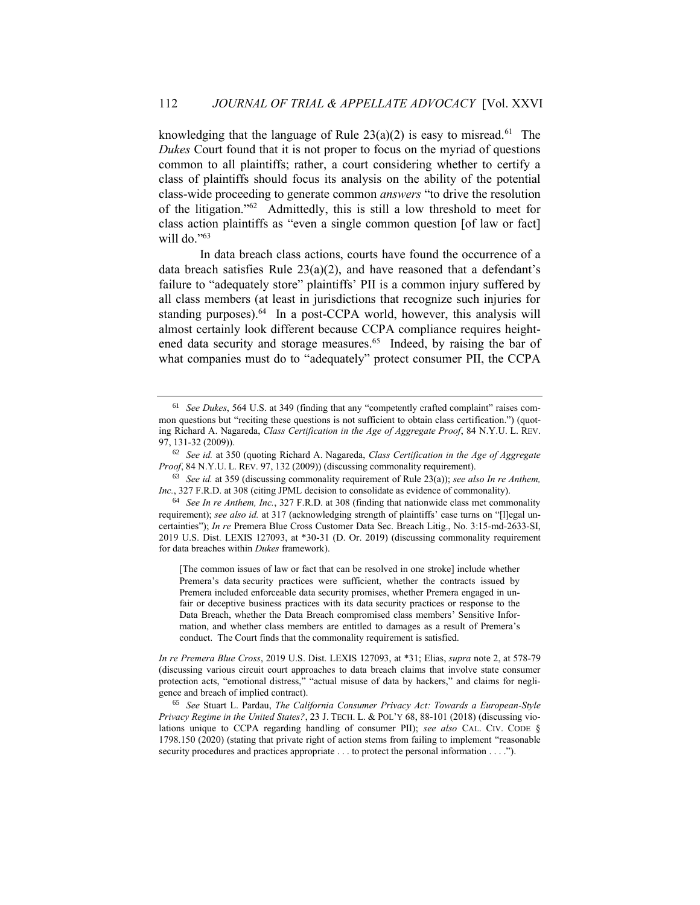knowledging that the language of Rule  $23(a)(2)$  is easy to misread.<sup>61</sup> The *Dukes* Court found that it is not proper to focus on the myriad of questions common to all plaintiffs; rather, a court considering whether to certify a class of plaintiffs should focus its analysis on the ability of the potential class-wide proceeding to generate common *answers* "to drive the resolution of the litigation." 62 Admittedly, this is still a low threshold to meet for class action plaintiffs as "even a single common question [of law or fact] will do."<sup>63</sup>

In data breach class actions, courts have found the occurrence of a data breach satisfies Rule  $23(a)(2)$ , and have reasoned that a defendant's failure to "adequately store" plaintiffs' PII is a common injury suffered by all class members (at least in jurisdictions that recognize such injuries for standing purposes).<sup>64</sup> In a post-CCPA world, however, this analysis will almost certainly look different because CCPA compliance requires heightened data security and storage measures.<sup>65</sup> Indeed, by raising the bar of what companies must do to "adequately" protect consumer PII, the CCPA

[The common issues of law or fact that can be resolved in one stroke] include whether Premera's data security practices were sufficient, whether the contracts issued by Premera included enforceable data security promises, whether Premera engaged in unfair or deceptive business practices with its data security practices or response to the Data Breach, whether the Data Breach compromised class members' Sensitive Information, and whether class members are entitled to damages as a result of Premera's conduct. The Court finds that the commonality requirement is satisfied.

<sup>61</sup> *See Dukes*, 564 U.S. at 349 (finding that any "competently crafted complaint" raises common questions but "reciting these questions is not sufficient to obtain class certification.") (quoting Richard A. Nagareda, *Class Certification in the Age of Aggregate Proof*, 84 N.Y.U. L. REV. 97, 131-32 (2009)).

<sup>62</sup> *See id.* at 350 (quoting Richard A. Nagareda, *Class Certification in the Age of Aggregate Proof*, 84 N.Y.U. L. REV. 97, 132 (2009)) (discussing commonality requirement).

<sup>63</sup> *See id.* at 359 (discussing commonality requirement of Rule 23(a)); *see also In re Anthem,* Inc., 327 F.R.D. at 308 (citing JPML decision to consolidate as evidence of commonality).

<sup>64</sup> *See In re Anthem, Inc.*, 327 F.R.D. at 308 (finding that nationwide class met commonality requirement); see also id. at 317 (acknowledging strength of plaintiffs' case turns on "[l]egal uncertainties"); *In re* Premera Blue Cross Customer Data Sec. Breach Litig., No. 3:15-md-2633-SI, 2019 U.S. Dist. LEXIS 127093, at \*30-31 (D. Or. 2019) (discussing commonality requirement for data breaches within *Dukes* framework).

*In re Premera Blue Cross*, 2019 U.S. Dist. LEXIS 127093, at \*31; Elias, *supra* note 2, at 578-79 (discussing various circuit court approaches to data breach claims that involve state consumer protection acts, "emotional distress," "actual misuse of data by hackers," and claims for negligence and breach of implied contract).

<sup>65</sup> *See* Stuart L. Pardau, *The California Consumer Privacy Act: Towards a European-Style Privacy Regime in the United States?*, 23 J. TECH. L. & POL'Y 68, 88-101 (2018) (discussing violations unique to CCPA regarding handling of consumer PII); *see also* CAL. CIV. CODE § 1798.150 (2020) (stating that private right of action stems from failing to implement "reasonable security procedures and practices appropriate . . . to protect the personal information . . . .").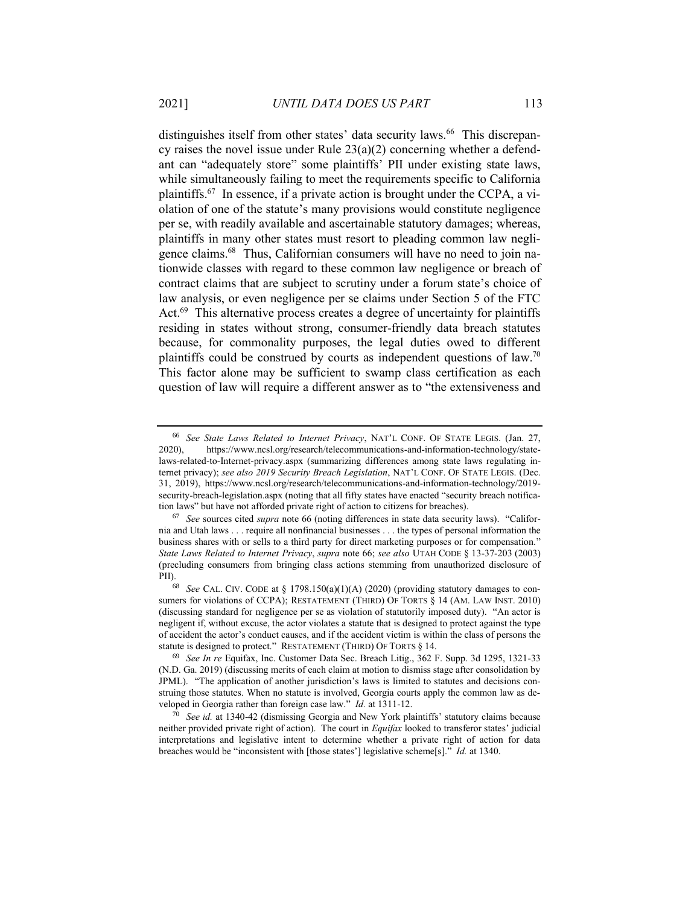distinguishes itself from other states' data security laws.<sup>66</sup> This discrepancy raises the novel issue under Rule  $23(a)(2)$  concerning whether a defendant can "adequately store" some plaintiffs' PII under existing state laws, while simultaneously failing to meet the requirements specific to California plaintiffs.<sup>67</sup> In essence, if a private action is brought under the CCPA, a violation of one of the statute's many provisions would constitute negligence per se, with readily available and ascertainable statutory damages; whereas, plaintiffs in many other states must resort to pleading common law negligence claims. 68 Thus, Californian consumers will have no need to join nationwide classes with regard to these common law negligence or breach of contract claims that are subject to scrutiny under a forum state's choice of law analysis, or even negligence per se claims under Section 5 of the FTC Act.<sup>69</sup> This alternative process creates a degree of uncertainty for plaintiffs residing in states without strong, consumer-friendly data breach statutes because, for commonality purposes, the legal duties owed to different plaintiffs could be construed by courts as independent questions of law.<sup>70</sup> This factor alone may be sufficient to swamp class certification as each question of law will require a different answer as to "the extensiveness and

<sup>66</sup> *See State Laws Related to Internet Privacy*, NAT'L CONF. OF STATE LEGIS. (Jan. 27, 2020), https://www.ncsl.org/research/telecommunications-and-information-technology/statelaws-related-to-Internet-privacy.aspx (summarizing differences among state laws regulating internet privacy); *see also 2019 Security Breach Legislation*, NAT'L CONF. OF STATE LEGIS. (Dec. 31, 2019), https://www.ncsl.org/research/telecommunications-and-information-technology/2019 security-breach-legislation.aspx (noting that all fifty states have enacted "security breach notification laws" but have not afforded private right of action to citizens for breaches).

<sup>67</sup> *See* sources cited *supra* note 66 (noting differences in state data security laws). "California and Utah laws . . . require all nonfinancial businesses . . . the types of personal information the business shares with or sells to a third party for direct marketing purposes or for compensation." *State Laws Related to Internet Privacy*, *supra* note 66; *see also* UTAH CODE § 13-37-203 (2003) (precluding consumers from bringing class actions stemming from unauthorized disclosure of PII).

<sup>&</sup>lt;sup>68</sup> *See* CAL. CIV. CODE at  $\S$  1798.150(a)(1)(A) (2020) (providing statutory damages to consumers for violations of CCPA); RESTATEMENT (THIRD) OF TORTS § 14 (AM. LAW INST. 2010) (discussing standard for negligence per se as violation of statutorily imposed duty). "An actor is negligent if, without excuse, the actor violates a statute that is designed to protect against the type of accident the actor's conduct causes, and if the accident victim is within the class of persons the statute is designed to protect." RESTATEMENT (THIRD) OF TORTS § 14.

<sup>69</sup> *See In re* Equifax, Inc. Customer Data Sec. Breach Litig., 362 F. Supp. 3d 1295, 1321-33 (N.D. Ga. 2019) (discussing merits of each claim at motion to dismiss stage after consolidation by JPML). "The application of another jurisdiction's laws is limited to statutes and decisions construing those statutes. When no statute is involved, Georgia courts apply the common law as developed in Georgia rather than foreign case law." *Id.* at 1311-12.

<sup>70</sup> *See id.* at 1340-42 (dismissing Georgia and New York plaintiffs' statutory claims because neither provided private right of action). The court in *Equifax* looked to transferor states' judicial interpretations and legislative intent to determine whether a private right of action for data breaches would be "inconsistent with [those states'] legislative scheme[s]." *Id.* at 1340.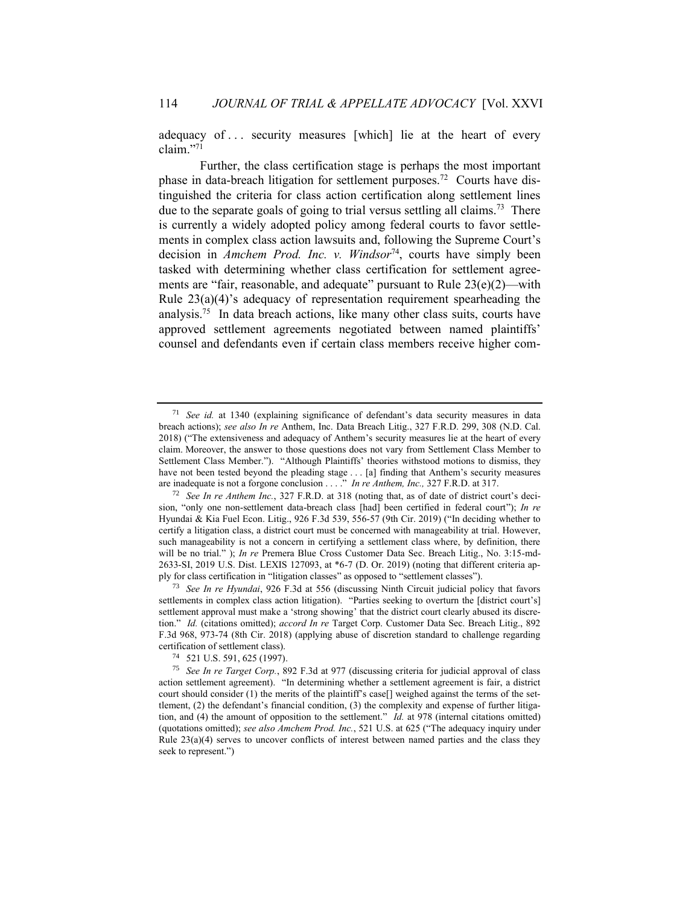adequacy of ... security measures [which] lie at the heart of every claim." 71

Further, the class certification stage is perhaps the most important phase in data-breach litigation for settlement purposes.<sup>72</sup> Courts have distinguished the criteria for class action certification along settlement lines due to the separate goals of going to trial versus settling all claims.<sup>73</sup> There is currently a widely adopted policy among federal courts to favor settlements in complex class action lawsuits and, following the Supreme Court's decision in *Amchem Prod. Inc. v. Windsor*<sup>74</sup> , courts have simply been tasked with determining whether class certification for settlement agreements are "fair, reasonable, and adequate" pursuant to Rule 23(e)(2)—with Rule 23(a)(4)'s adequacy of representation requirement spearheading the analysis. 75 In data breach actions, like many other class suits, courts have approved settlement agreements negotiated between named plaintiffs' counsel and defendants even if certain class members receive higher com-

<sup>71</sup> *See id.* at 1340 (explaining significance of defendant's data security measures in data breach actions); *see also In re* Anthem, Inc. Data Breach Litig., 327 F.R.D. 299, 308 (N.D. Cal. 2018) ("The extensiveness and adequacy of Anthem's security measures lie at the heart of every claim. Moreover, the answer to those questions does not vary from Settlement Class Member to Settlement Class Member."). "Although Plaintiffs' theories withstood motions to dismiss, they have not been tested beyond the pleading stage . . . [a] finding that Anthem's security measures are inadequate is not a forgone conclusion . . . ." *In re Anthem, Inc.,* 327 F.R.D. at 317.

<sup>72</sup> *See In re Anthem Inc.*, 327 F.R.D. at 318 (noting that, as of date of district court's decision, "only one non-settlement data-breach class [had] been certified in federal court"); *In re* Hyundai & Kia Fuel Econ. Litig., 926 F.3d 539, 556-57 (9th Cir. 2019) ("In deciding whether to certify a litigation class, a district court must be concerned with manageability at trial. However, such manageability is not a concern in certifying a settlement class where, by definition, there will be no trial." ); *In re* Premera Blue Cross Customer Data Sec. Breach Litig., No. 3:15-md-2633-SI, 2019 U.S. Dist. LEXIS 127093, at \*6-7 (D. Or. 2019) (noting that different criteria apply for class certification in "litigation classes" as opposed to "settlement classes").

<sup>73</sup> *See In re Hyundai*, 926 F.3d at 556 (discussing Ninth Circuit judicial policy that favors settlements in complex class action litigation). "Parties seeking to overturn the [district court's] settlement approval must make a 'strong showing' that the district court clearly abused its discretion." *Id.* (citations omitted); *accord In re* Target Corp. Customer Data Sec. Breach Litig., 892 F.3d 968, 973-74 (8th Cir. 2018) (applying abuse of discretion standard to challenge regarding certification of settlement class).

<sup>74</sup> 521 U.S. 591, 625 (1997).

<sup>75</sup> *See In re Target Corp.*, 892 F.3d at 977 (discussing criteria for judicial approval of class action settlement agreement). "In determining whether a settlement agreement is fair, a district court should consider (1) the merits of the plaintiff's case<sup>[]</sup> weighed against the terms of the settlement, (2) the defendant's financial condition, (3) the complexity and expense of further litigation, and (4) the amount of opposition to the settlement." *Id.* at 978 (internal citations omitted) (quotations omitted); *see also Amchem Prod. Inc.*, 521 U.S. at 625 ("The adequacy inquiry under Rule  $23(a)(4)$  serves to uncover conflicts of interest between named parties and the class they seek to represent.")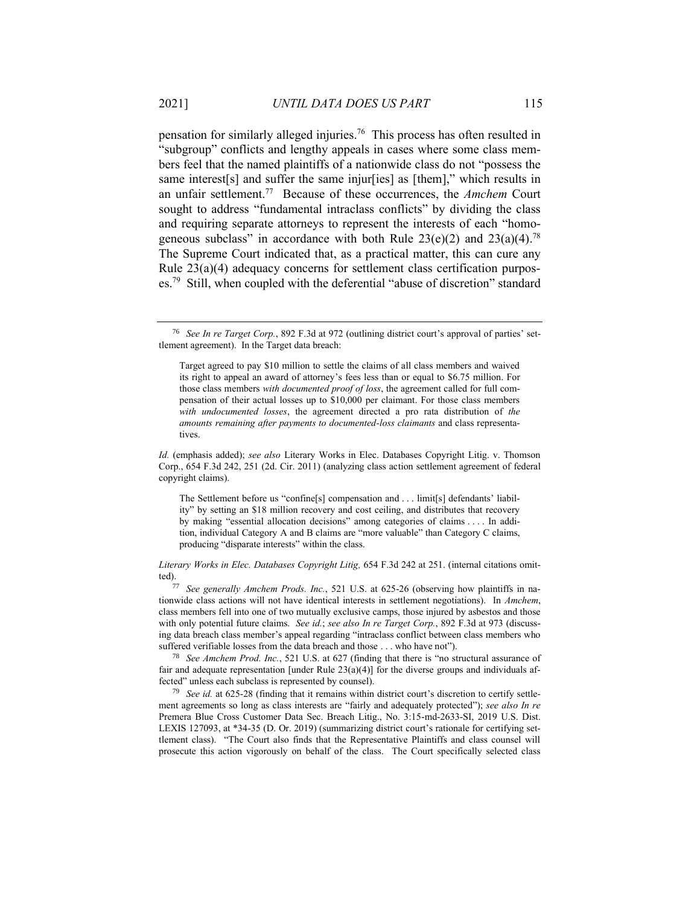pensation for similarly alleged injuries. 76 This process has often resulted in "subgroup" conflicts and lengthy appeals in cases where some class members feel that the named plaintiffs of a nationwide class do not "possess the same interest [s] and suffer the same injur[ies] as [them]," which results in an unfair settlement.<sup>77</sup> Because of these occurrences, the *Amchem* Court sought to address "fundamental intraclass conflicts" by dividing the class and requiring separate attorneys to represent the interests of each "homogeneous subclass" in accordance with both Rule  $23(e)(2)$  and  $23(a)(4)$ .<sup>78</sup> The Supreme Court indicated that, as a practical matter, this can cure any Rule 23(a)(4) adequacy concerns for settlement class certification purposes.<sup>79</sup> Still, when coupled with the deferential "abuse of discretion" standard

*Id.* (emphasis added); *see also* Literary Works in Elec. Databases Copyright Litig. v. Thomson Corp., 654 F.3d 242, 251 (2d. Cir. 2011) (analyzing class action settlement agreement of federal copyright claims).

The Settlement before us "confine[s] compensation and . . . limit[s] defendants' liability" by setting an \$18 million recovery and cost ceiling, and distributes that recovery by making "essential allocation decisions" among categories of claims . . . . In addition, individual Category A and B claims are "more valuable" than Category C claims, producing "disparate interests" within the class.

*Literary Works in Elec. Databases Copyright Litig,* 654 F.3d 242 at 251. (internal citations omitted).

<sup>77</sup> *See generally Amchem Prods. Inc.*, 521 U.S. at 625-26 (observing how plaintiffs in nationwide class actions will not have identical interests in settlement negotiations). In *Amchem*, class members fell into one of two mutually exclusive camps, those injured by asbestos and those with only potential future claims. *See id.*; *see also In re Target Corp.*, 892 F.3d at 973 (discussing data breach class member's appeal regarding "intraclass conflict between class members who suffered verifiable losses from the data breach and those . . . who have not").

<sup>78</sup> *See Amchem Prod. Inc.*, 521 U.S. at 627 (finding that there is "no structural assurance of fair and adequate representation [under Rule  $23(a)(4)$ ] for the diverse groups and individuals affected" unless each subclass is represented by counsel).

<sup>79</sup> *See id.* at 625-28 (finding that it remains within district court's discretion to certify settlement agreements so long as class interests are "fairly and adequately protected"); *see also In re* Premera Blue Cross Customer Data Sec. Breach Litig., No. 3:15-md-2633-SI, 2019 U.S. Dist. LEXIS 127093, at \*34-35 (D. Or. 2019) (summarizing district court's rationale for certifying settlement class). "The Court also finds that the Representative Plaintiffs and class counsel will prosecute this action vigorously on behalf of the class. The Court specifically selected class

<sup>76</sup> *See In re Target Corp.*, 892 F.3d at 972 (outlining district court's approval of parties' settlement agreement). In the Target data breach:

Target agreed to pay \$10 million to settle the claims of all class members and waived its right to appeal an award of attorney's fees less than or equal to \$6.75 million. For those class members *with documented proof of loss*, the agreement called for full compensation of their actual losses up to \$10,000 per claimant. For those class members *with undocumented losses*, the agreement directed a pro rata distribution of *the amounts remaining after payments to documented-loss claimants* and class representatives.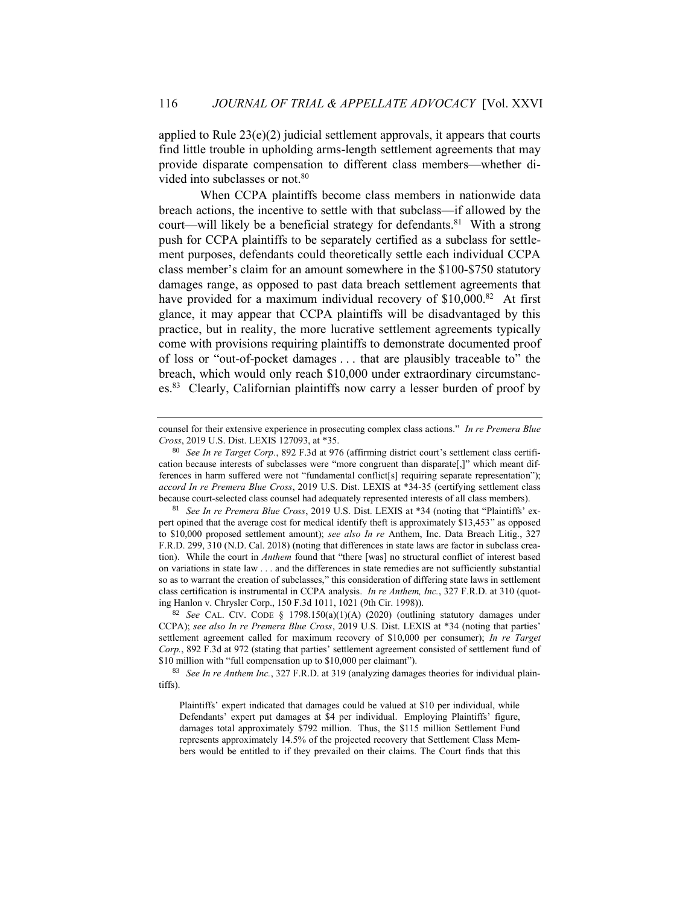applied to Rule  $23(e)(2)$  judicial settlement approvals, it appears that courts find little trouble in upholding arms-length settlement agreements that may provide disparate compensation to different class members—whether divided into subclasses or not. 80

When CCPA plaintiffs become class members in nationwide data breach actions, the incentive to settle with that subclass—if allowed by the court—will likely be a beneficial strategy for defendants.<sup>81</sup> With a strong push for CCPA plaintiffs to be separately certified as a subclass for settlement purposes, defendants could theoretically settle each individual CCPA class member's claim for an amount somewhere in the \$100-\$750 statutory damages range, as opposed to past data breach settlement agreements that have provided for a maximum individual recovery of  $$10,000$ .<sup>82</sup> At first glance, it may appear that CCPA plaintiffs will be disadvantaged by this practice, but in reality, the more lucrative settlement agreements typically come with provisions requiring plaintiffs to demonstrate documented proof of loss or "out-of-pocket damages . . . that are plausibly traceable to" the breach, which would only reach \$10,000 under extraordinary circumstances.<sup>83</sup> Clearly, Californian plaintiffs now carry a lesser burden of proof by

<sup>83</sup> *See In re Anthem Inc.*, 327 F.R.D. at 319 (analyzing damages theories for individual plaintiffs).

counsel for their extensive experience in prosecuting complex class actions." *In re Premera Blue Cross*, 2019 U.S. Dist. LEXIS 127093, at \*35.

<sup>80</sup> *See In re Target Corp.*, 892 F.3d at 976 (affirming district court's settlement class certification because interests of subclasses were "more congruent than disparate[,]" which meant differences in harm suffered were not "fundamental conflict[s] requiring separate representation"); *accord In re Premera Blue Cross*, 2019 U.S. Dist. LEXIS at \*34-35 (certifying settlement class because court-selected class counsel had adequately represented interests of all class members).

<sup>81</sup> *See In re Premera Blue Cross*, 2019 U.S. Dist. LEXIS at \*34 (noting that "Plaintiffs' expert opined that the average cost for medical identify theft is approximately \$13,453" as opposed to \$10,000 proposed settlement amount); *see also In re* Anthem, Inc. Data Breach Litig., 327 F.R.D. 299, 310 (N.D. Cal. 2018) (noting that differences in state laws are factor in subclass creation). While the court in *Anthem* found that "there [was] no structural conflict of interest based on variations in state law . . . and the differences in state remedies are not sufficiently substantial so as to warrant the creation of subclasses," this consideration of differing state laws in settlement class certification is instrumental in CCPA analysis. *In re Anthem, Inc.*, 327 F.R.D. at 310 (quoting Hanlon v. Chrysler Corp., 150 F.3d 1011, 1021 (9th Cir. 1998)).

<sup>82</sup> *See* CAL. CIV. CODE § 1798.150(a)(1)(A) (2020) (outlining statutory damages under CCPA); *see also In re Premera Blue Cross*, 2019 U.S. Dist. LEXIS at \*34 (noting that parties' settlement agreement called for maximum recovery of \$10,000 per consumer); *In re Target Corp.*, 892 F.3d at 972 (stating that parties' settlement agreement consisted of settlement fund of \$10 million with "full compensation up to \$10,000 per claimant").

Plaintiffs' expert indicated that damages could be valued at \$10 per individual, while Defendants' expert put damages at \$4 per individual. Employing Plaintiffs' figure, damages total approximately \$792 million. Thus, the \$115 million Settlement Fund represents approximately 14.5% of the projected recovery that Settlement Class Members would be entitled to if they prevailed on their claims. The Court finds that this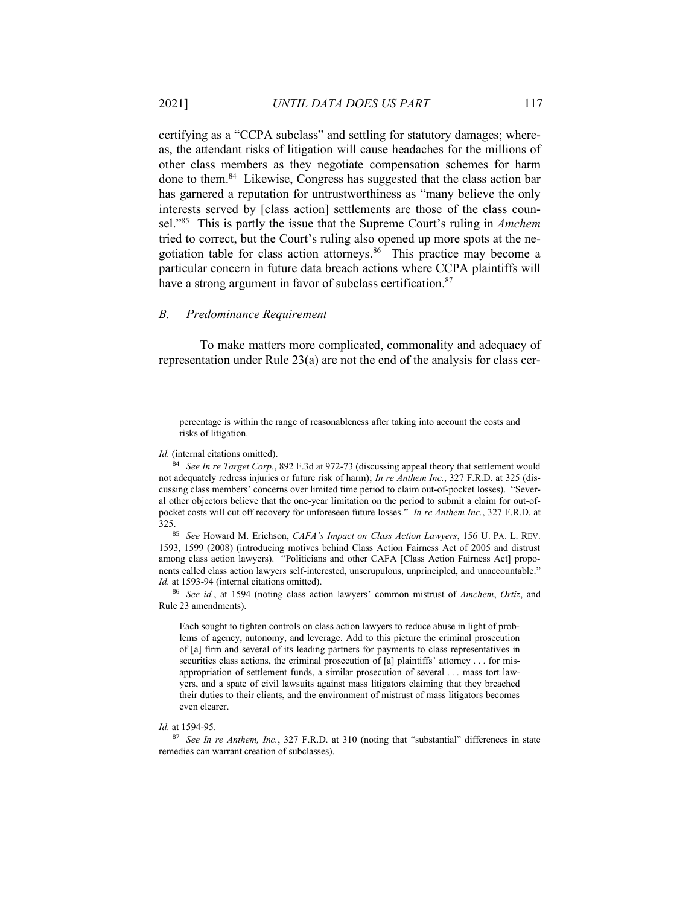certifying as a "CCPA subclass" and settling for statutory damages; whereas, the attendant risks of litigation will cause headaches for the millions of other class members as they negotiate compensation schemes for harm done to them. 84 Likewise, Congress has suggested that the class action bar has garnered a reputation for untrustworthiness as "many believe the only interests served by [class action] settlements are those of the class counsel." 85 This is partly the issue that the Supreme Court's ruling in *Amchem*  tried to correct, but the Court's ruling also opened up more spots at the negotiation table for class action attorneys.<sup>86</sup> This practice may become a particular concern in future data breach actions where CCPA plaintiffs will have a strong argument in favor of subclass certification.<sup>87</sup>

## *B. Predominance Requirement*

To make matters more complicated, commonality and adequacy of representation under Rule 23(a) are not the end of the analysis for class cer-

percentage is within the range of reasonableness after taking into account the costs and risks of litigation.

#### *Id.* (internal citations omitted).

<sup>84</sup> *See In re Target Corp.*, 892 F.3d at 972-73 (discussing appeal theory that settlement would not adequately redress injuries or future risk of harm); *In re Anthem Inc.*, 327 F.R.D. at 325 (discussing class members' concerns over limited time period to claim out-of-pocket losses). "Several other objectors believe that the one-year limitation on the period to submit a claim for out-ofpocket costs will cut off recovery for unforeseen future losses." *In re Anthem Inc.*, 327 F.R.D. at 325.

<sup>85</sup> *See* Howard M. Erichson, *CAFA's Impact on Class Action Lawyers*, 156 U. PA. L. REV. 1593, 1599 (2008) (introducing motives behind Class Action Fairness Act of 2005 and distrust among class action lawyers). "Politicians and other CAFA [Class Action Fairness Act] proponents called class action lawyers self-interested, unscrupulous, unprincipled, and unaccountable." *Id.* at 1593-94 (internal citations omitted).

<sup>86</sup> *See id.*, at 1594 (noting class action lawyers' common mistrust of *Amchem*, *Ortiz*, and Rule 23 amendments).

Each sought to tighten controls on class action lawyers to reduce abuse in light of problems of agency, autonomy, and leverage. Add to this picture the criminal prosecution of [a] firm and several of its leading partners for payments to class representatives in securities class actions, the criminal prosecution of [a] plaintiffs' attorney . . . for misappropriation of settlement funds, a similar prosecution of several . . . mass tort lawyers, and a spate of civil lawsuits against mass litigators claiming that they breached their duties to their clients, and the environment of mistrust of mass litigators becomes even clearer.

#### *Id.* at 1594-95.

<sup>87</sup> *See In re Anthem, Inc.*, 327 F.R.D. at 310 (noting that "substantial" differences in state remedies can warrant creation of subclasses).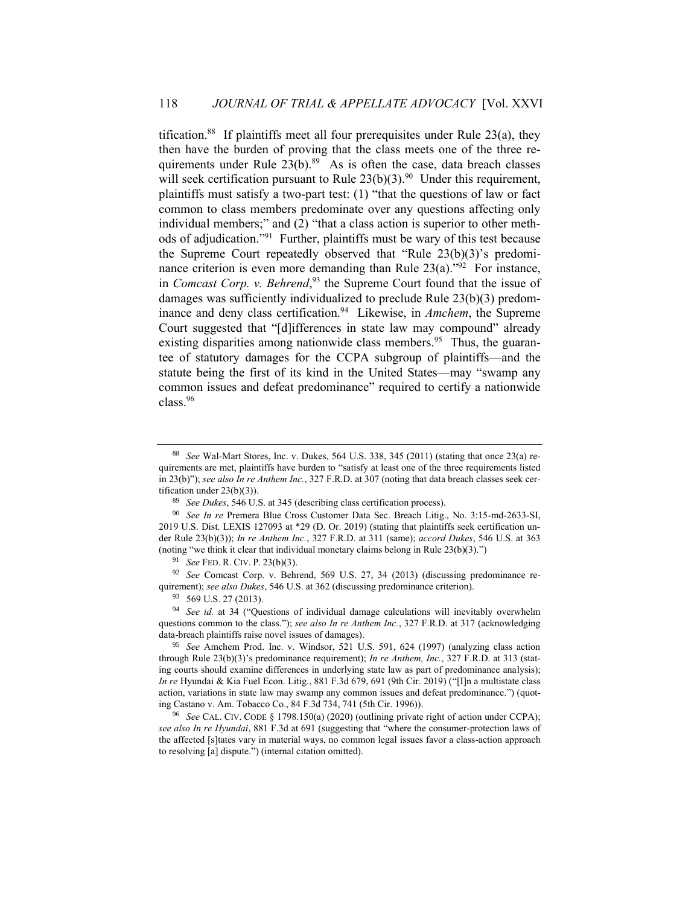tification.<sup>88</sup> If plaintiffs meet all four prerequisites under Rule  $23(a)$ , they then have the burden of proving that the class meets one of the three requirements under Rule  $23(b)$ .<sup>89</sup> As is often the case, data breach classes will seek certification pursuant to Rule  $23(b)(3)$ .<sup>90</sup> Under this requirement, plaintiffs must satisfy a two-part test: (1) "that the questions of law or fact common to class members predominate over any questions affecting only individual members;" and  $(2)$  "that a class action is superior to other methods of adjudication." 91 Further, plaintiffs must be wary of this test because the Supreme Court repeatedly observed that "Rule 23(b)(3)'s predominance criterion is even more demanding than Rule  $23(a)$ ."<sup>92</sup> For instance, in *Comcast Corp. v. Behrend*, <sup>93</sup> the Supreme Court found that the issue of damages was sufficiently individualized to preclude Rule 23(b)(3) predominance and deny class certification.<sup>94</sup> Likewise, in *Amchem*, the Supreme Court suggested that "[d]ifferences in state law may compound" already existing disparities among nationwide class members.<sup>95</sup> Thus, the guarantee of statutory damages for the CCPA subgroup of plaintiffs—and the statute being the first of its kind in the United States—may "swamp any common issues and defeat predominance" required to certify a nationwide class.<sup>96</sup>

<sup>92</sup> *See* Comcast Corp. v. Behrend, 569 U.S. 27, 34 (2013) (discussing predominance requirement); *see also Dukes*, 546 U.S. at 362 (discussing predominance criterion).

<sup>93</sup> 569 U.S. 27 (2013).

<sup>94</sup> *See id.* at 34 ("Questions of individual damage calculations will inevitably overwhelm questions common to the class."); *see also In re Anthem Inc.*, 327 F.R.D. at 317 (acknowledging data-breach plaintiffs raise novel issues of damages).

<sup>88</sup> *See* Wal-Mart Stores, Inc. v. Dukes, 564 U.S. 338, 345 (2011) (stating that once 23(a) requirements are met, plaintiffs have burden to "satisfy at least one of the three requirements listed in 23(b)"); *see also In re Anthem Inc.*, 327 F.R.D. at 307 (noting that data breach classes seek certification under 23(b)(3)).

<sup>89</sup> *See Dukes*, 546 U.S. at 345 (describing class certification process).

<sup>90</sup> *See In re* Premera Blue Cross Customer Data Sec. Breach Litig., No. 3:15-md-2633-SI, 2019 U.S. Dist. LEXIS 127093 at \*29 (D. Or. 2019) (stating that plaintiffs seek certification under Rule 23(b)(3)); *In re Anthem Inc.*, 327 F.R.D. at 311 (same); *accord Dukes*, 546 U.S. at 363 (noting "we think it clear that individual monetary claims belong in Rule 23(b)(3).")

<sup>91</sup> *See* FED. R. CIV. P. 23(b)(3).

<sup>95</sup> *See* Amchem Prod. Inc. v. Windsor, 521 U.S. 591, 624 (1997) (analyzing class action through Rule 23(b)(3)'s predominance requirement); *In re Anthem, Inc.*, 327 F.R.D. at 313 (stating courts should examine differences in underlying state law as part of predominance analysis); *In re* Hyundai & Kia Fuel Econ. Litig., 881 F.3d 679, 691 (9th Cir. 2019) ("[I]n a multistate class action, variations in state law may swamp any common issues and defeat predominance.") (quoting Castano v. Am. Tobacco Co., 84 F.3d 734, 741 (5th Cir. 1996)).

<sup>96</sup> *See* CAL. CIV. CODE § 1798.150(a) (2020) (outlining private right of action under CCPA); *see also In re Hyundai*, 881 F.3d at 691 (suggesting that "where the consumer-protection laws of the affected [s]tates vary in material ways, no common legal issues favor a class-action approach to resolving [a] dispute.") (internal citation omitted).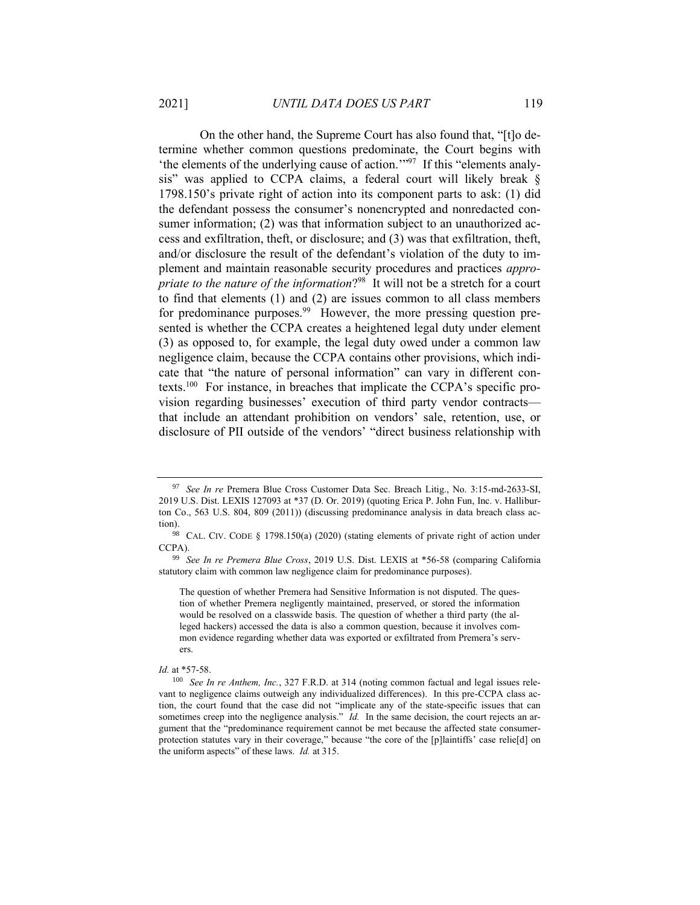On the other hand, the Supreme Court has also found that, "[t]o determine whether common questions predominate, the Court begins with 'the elements of the underlying cause of action.'"<sup>97</sup> If this "elements analysis" was applied to CCPA claims, a federal court will likely break § 1798.150's private right of action into its component parts to ask: (1) did the defendant possess the consumer's nonencrypted and nonredacted consumer information; (2) was that information subject to an unauthorized access and exfiltration, theft, or disclosure; and (3) was that exfiltration, theft, and/or disclosure the result of the defendant's violation of the duty to implement and maintain reasonable security procedures and practices *appropriate to the nature of the information*? 98 It will not be a stretch for a court to find that elements (1) and (2) are issues common to all class members for predominance purposes.<sup>99</sup> However, the more pressing question presented is whether the CCPA creates a heightened legal duty under element (3) as opposed to, for example, the legal duty owed under a common law negligence claim, because the CCPA contains other provisions, which indicate that "the nature of personal information" can vary in different contexts.<sup>100</sup> For instance, in breaches that implicate the CCPA's specific provision regarding businesses' execution of third party vendor contracts that include an attendant prohibition on vendors' sale, retention, use, or disclosure of PII outside of the vendors' "direct business relationship with

#### *Id.* at \*57-58.

<sup>97</sup> *See In re* Premera Blue Cross Customer Data Sec. Breach Litig., No. 3:15-md-2633-SI, 2019 U.S. Dist. LEXIS 127093 at \*37 (D. Or. 2019) (quoting Erica P. John Fun, Inc. v. Halliburton Co., 563 U.S. 804, 809 (2011)) (discussing predominance analysis in data breach class action).

<sup>98</sup> CAL. CIV. CODE § 1798.150(a) (2020) (stating elements of private right of action under CCPA).

<sup>99</sup> *See In re Premera Blue Cross*, 2019 U.S. Dist. LEXIS at \*56-58 (comparing California statutory claim with common law negligence claim for predominance purposes).

The question of whether Premera had Sensitive Information is not disputed. The question of whether Premera negligently maintained, preserved, or stored the information would be resolved on a classwide basis. The question of whether a third party (the alleged hackers) accessed the data is also a common question, because it involves common evidence regarding whether data was exported or exfiltrated from Premera's servers.

<sup>100</sup> *See In re Anthem, Inc.*, 327 F.R.D. at 314 (noting common factual and legal issues relevant to negligence claims outweigh any individualized differences). In this pre-CCPA class action, the court found that the case did not "implicate any of the state-specific issues that can sometimes creep into the negligence analysis." *Id.* In the same decision, the court rejects an argument that the "predominance requirement cannot be met because the affected state consumerprotection statutes vary in their coverage," because "the core of the [p]laintiffs' case relie[d] on the uniform aspects" of these laws. *Id.* at 315.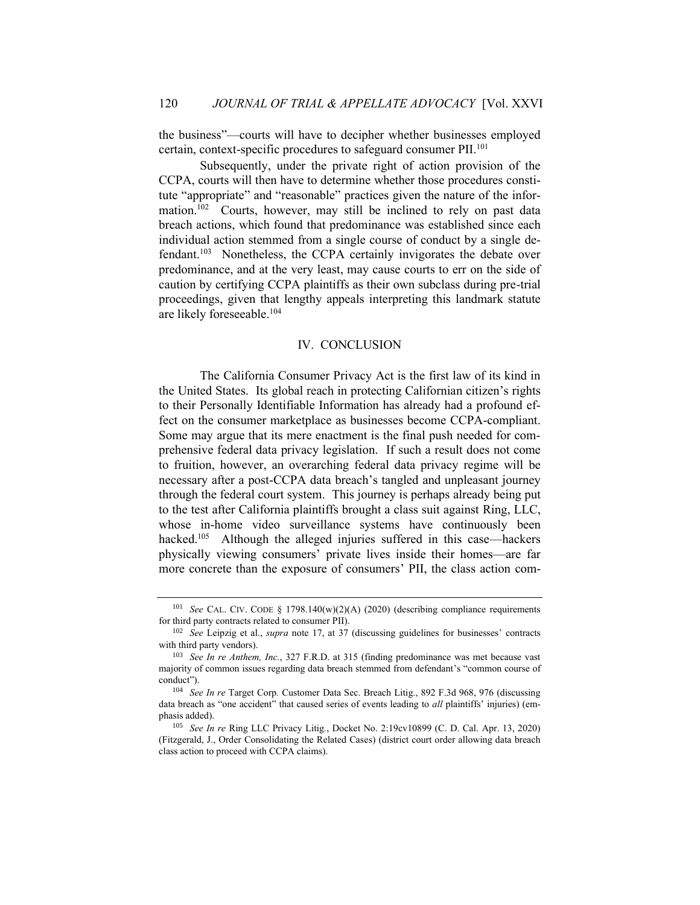the business"—courts will have to decipher whether businesses employed certain, context-specific procedures to safeguard consumer PII. 101

Subsequently, under the private right of action provision of the CCPA, courts will then have to determine whether those procedures constitute "appropriate" and "reasonable" practices given the nature of the information.<sup>102</sup> Courts, however, may still be inclined to rely on past data breach actions, which found that predominance was established since each individual action stemmed from a single course of conduct by a single defendant.<sup>103</sup> Nonetheless, the CCPA certainly invigorates the debate over predominance, and at the very least, may cause courts to err on the side of caution by certifying CCPA plaintiffs as their own subclass during pre-trial proceedings, given that lengthy appeals interpreting this landmark statute are likely foreseeable. 104

### IV. CONCLUSION

The California Consumer Privacy Act is the first law of its kind in the United States. Its global reach in protecting Californian citizen's rights to their Personally Identifiable Information has already had a profound effect on the consumer marketplace as businesses become CCPA-compliant. Some may argue that its mere enactment is the final push needed for comprehensive federal data privacy legislation. If such a result does not come to fruition, however, an overarching federal data privacy regime will be necessary after a post-CCPA data breach's tangled and unpleasant journey through the federal court system. This journey is perhaps already being put to the test after California plaintiffs brought a class suit against Ring, LLC, whose in-home video surveillance systems have continuously been hacked.<sup>105</sup> Although the alleged injuries suffered in this case—hackers physically viewing consumers' private lives inside their homes—are far more concrete than the exposure of consumers' PII, the class action com-

<sup>&</sup>lt;sup>101</sup> *See* CAL. CIV. CODE § 1798.140(w)(2)(A) (2020) (describing compliance requirements for third party contracts related to consumer PII).

<sup>102</sup> *See* Leipzig et al., *supra* note 17, at 37 (discussing guidelines for businesses' contracts with third party vendors).

<sup>103</sup> *See In re Anthem, Inc.*, 327 F.R.D. at 315 (finding predominance was met because vast majority of common issues regarding data breach stemmed from defendant's "common course of conduct").

<sup>104</sup> *See In re* Target Corp*.* Customer Data Sec. Breach Litig., 892 F.3d 968, 976 (discussing data breach as "one accident" that caused series of events leading to *all* plaintiffs' injuries) (emphasis added).

<sup>105</sup> *See In re* Ring LLC Privacy Litig*.*, Docket No. 2:19cv10899 (C. D. Cal. Apr. 13, 2020) (Fitzgerald, J., Order Consolidating the Related Cases) (district court order allowing data breach class action to proceed with CCPA claims).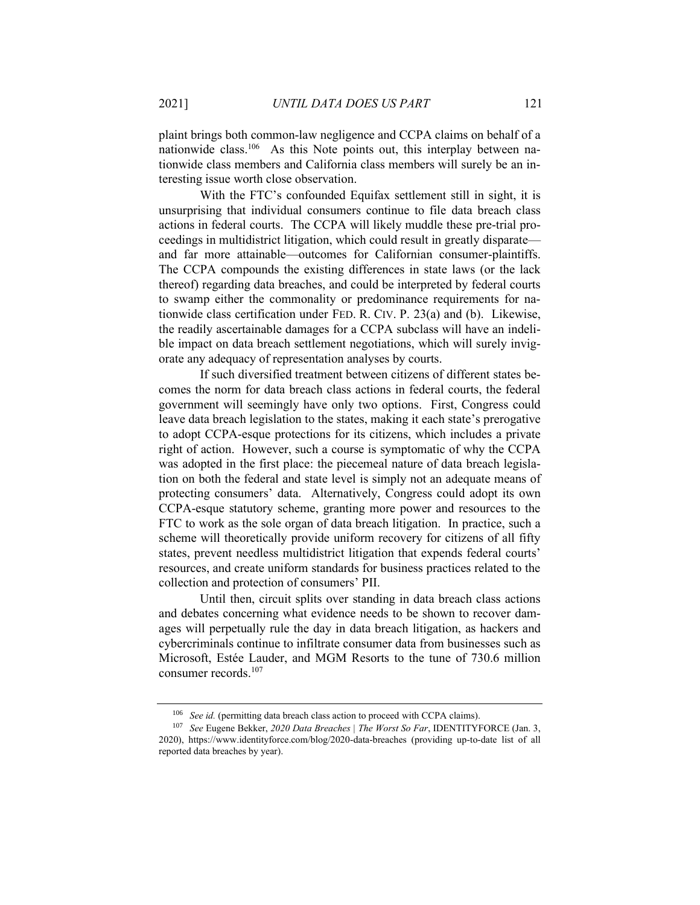plaint brings both common-law negligence and CCPA claims on behalf of a nationwide class.<sup>106</sup> As this Note points out, this interplay between nationwide class members and California class members will surely be an interesting issue worth close observation.

With the FTC's confounded Equifax settlement still in sight, it is unsurprising that individual consumers continue to file data breach class actions in federal courts. The CCPA will likely muddle these pre-trial proceedings in multidistrict litigation, which could result in greatly disparate and far more attainable—outcomes for Californian consumer-plaintiffs. The CCPA compounds the existing differences in state laws (or the lack thereof) regarding data breaches, and could be interpreted by federal courts to swamp either the commonality or predominance requirements for nationwide class certification under FED. R. CIV. P. 23(a) and (b). Likewise, the readily ascertainable damages for a CCPA subclass will have an indelible impact on data breach settlement negotiations, which will surely invigorate any adequacy of representation analyses by courts.

If such diversified treatment between citizens of different states becomes the norm for data breach class actions in federal courts, the federal government will seemingly have only two options. First, Congress could leave data breach legislation to the states, making it each state's prerogative to adopt CCPA-esque protections for its citizens, which includes a private right of action. However, such a course is symptomatic of why the CCPA was adopted in the first place: the piecemeal nature of data breach legislation on both the federal and state level is simply not an adequate means of protecting consumers' data. Alternatively, Congress could adopt its own CCPA-esque statutory scheme, granting more power and resources to the FTC to work as the sole organ of data breach litigation. In practice, such a scheme will theoretically provide uniform recovery for citizens of all fifty states, prevent needless multidistrict litigation that expends federal courts' resources, and create uniform standards for business practices related to the collection and protection of consumers' PII.

Until then, circuit splits over standing in data breach class actions and debates concerning what evidence needs to be shown to recover damages will perpetually rule the day in data breach litigation, as hackers and cybercriminals continue to infiltrate consumer data from businesses such as Microsoft, Estée Lauder, and MGM Resorts to the tune of 730.6 million consumer records.<sup>107</sup>

<sup>&</sup>lt;sup>106</sup> *See id.* (permitting data breach class action to proceed with CCPA claims).

<sup>107</sup> *See* Eugene Bekker, *2020 Data Breaches | The Worst So Far*, IDENTITYFORCE (Jan. 3, 2020), https://www.identityforce.com/blog/2020-data-breaches (providing up-to-date list of all reported data breaches by year).